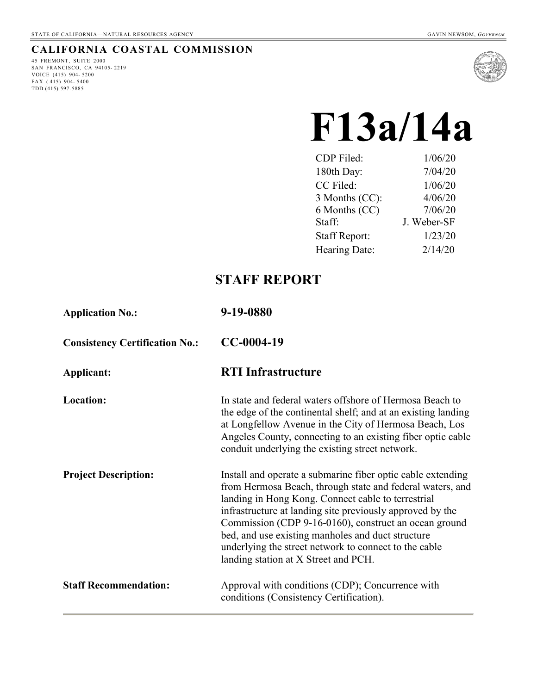#### **CALIFORNIA COASTAL COMMISSION**

45 FREMONT, SUITE 2000 SAN FRANCISCO, CA 94105- 2219 VOICE (415) 904- 5200 FAX ( 415) 904- 5400 TDD (415) 597-5885



# **F13a/14a**

| CDP Filed:           | 1/06/20     |
|----------------------|-------------|
| 180th Day:           | 7/04/20     |
| CC Filed:            | 1/06/20     |
| 3 Months (CC):       | 4/06/20     |
| 6 Months (CC)        | 7/06/20     |
| Staff:               | J. Weber-SF |
| <b>Staff Report:</b> | 1/23/20     |
| Hearing Date:        | 2/14/20     |

# **STAFF REPORT**

| <b>Application No.:</b>               | 9-19-0880                                                                                                                                                                                                                                                                                                                                                                                                                                                  |
|---------------------------------------|------------------------------------------------------------------------------------------------------------------------------------------------------------------------------------------------------------------------------------------------------------------------------------------------------------------------------------------------------------------------------------------------------------------------------------------------------------|
| <b>Consistency Certification No.:</b> | $CC-0004-19$                                                                                                                                                                                                                                                                                                                                                                                                                                               |
| Applicant:                            | <b>RTI</b> Infrastructure                                                                                                                                                                                                                                                                                                                                                                                                                                  |
| Location:                             | In state and federal waters offshore of Hermosa Beach to<br>the edge of the continental shelf; and at an existing landing<br>at Longfellow Avenue in the City of Hermosa Beach, Los<br>Angeles County, connecting to an existing fiber optic cable<br>conduit underlying the existing street network.                                                                                                                                                      |
| <b>Project Description:</b>           | Install and operate a submarine fiber optic cable extending<br>from Hermosa Beach, through state and federal waters, and<br>landing in Hong Kong. Connect cable to terrestrial<br>infrastructure at landing site previously approved by the<br>Commission (CDP 9-16-0160), construct an ocean ground<br>bed, and use existing manholes and duct structure<br>underlying the street network to connect to the cable<br>landing station at X Street and PCH. |
| <b>Staff Recommendation:</b>          | Approval with conditions (CDP); Concurrence with<br>conditions (Consistency Certification).                                                                                                                                                                                                                                                                                                                                                                |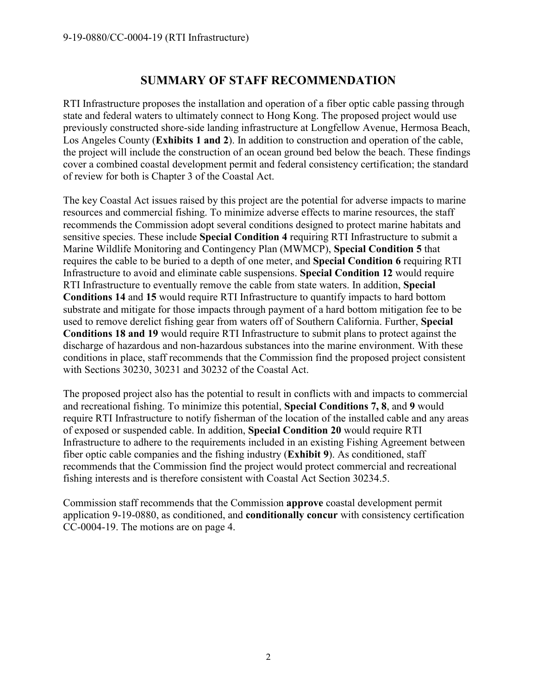# **SUMMARY OF STAFF RECOMMENDATION**

RTI Infrastructure proposes the installation and operation of a fiber optic cable passing through state and federal waters to ultimately connect to Hong Kong. The proposed project would use previously constructed shore-side landing infrastructure at Longfellow Avenue, Hermosa Beach, Los Angeles County (**Exhibits 1 and 2**). In addition to construction and operation of the cable, the project will include the construction of an ocean ground bed below the beach. These findings cover a combined coastal development permit and federal consistency certification; the standard of review for both is Chapter 3 of the Coastal Act.

The key Coastal Act issues raised by this project are the potential for adverse impacts to marine resources and commercial fishing. To minimize adverse effects to marine resources, the staff recommends the Commission adopt several conditions designed to protect marine habitats and sensitive species. These include **Special Condition 4** requiring RTI Infrastructure to submit a Marine Wildlife Monitoring and Contingency Plan (MWMCP), **Special Condition 5** that requires the cable to be buried to a depth of one meter, and **Special Condition 6** requiring RTI Infrastructure to avoid and eliminate cable suspensions. **Special Condition 12** would require RTI Infrastructure to eventually remove the cable from state waters. In addition, **Special Conditions 14** and **15** would require RTI Infrastructure to quantify impacts to hard bottom substrate and mitigate for those impacts through payment of a hard bottom mitigation fee to be used to remove derelict fishing gear from waters off of Southern California. Further, **Special Conditions 18 and 19** would require RTI Infrastructure to submit plans to protect against the discharge of hazardous and non-hazardous substances into the marine environment. With these conditions in place, staff recommends that the Commission find the proposed project consistent with Sections 30230, 30231 and 30232 of the Coastal Act.

The proposed project also has the potential to result in conflicts with and impacts to commercial and recreational fishing. To minimize this potential, **Special Conditions 7, 8**, and **9** would require RTI Infrastructure to notify fisherman of the location of the installed cable and any areas of exposed or suspended cable. In addition, **Special Condition 20** would require RTI Infrastructure to adhere to the requirements included in an existing Fishing Agreement between fiber optic cable companies and the fishing industry (**Exhibit 9**). As conditioned, staff recommends that the Commission find the project would protect commercial and recreational fishing interests and is therefore consistent with Coastal Act Section 30234.5.

Commission staff recommends that the Commission **approve** coastal development permit application 9-19-0880, as conditioned, and **conditionally concur** with consistency certification CC-0004-19. The motions are on page 4.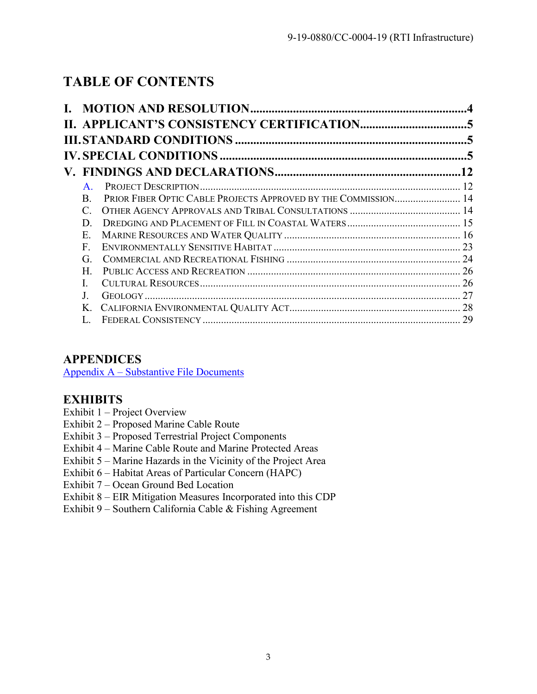# **TABLE OF CONTENTS**

|                                                                            | $\overline{12}$ |
|----------------------------------------------------------------------------|-----------------|
| $\mathbf{A}$ .                                                             |                 |
| PRIOR FIBER OPTIC CABLE PROJECTS APPROVED BY THE COMMISSION 14<br>$\bf{B}$ |                 |
| $\mathcal{C}_{\mathcal{C}}$                                                |                 |
| D                                                                          |                 |
| Е.                                                                         |                 |
| $\mathbf{F}$                                                               |                 |
| G.                                                                         |                 |
| Н.                                                                         |                 |
|                                                                            |                 |
|                                                                            |                 |
| Κ.                                                                         |                 |
|                                                                            |                 |

# **APPENDICES**

Appendix A – [Substantive File Documents](#page-30-0)

# **EXHIBITS**

- Exhibit 1 Project Overview
- Exhibit 2 Proposed Marine Cable Route
- Exhibit 3 Proposed Terrestrial Project Components
- Exhibit 4 Marine Cable Route and Marine Protected Areas
- Exhibit 5 Marine Hazards in the Vicinity of the Project Area
- Exhibit 6 Habitat Areas of Particular Concern (HAPC)
- Exhibit 7 Ocean Ground Bed Location
- Exhibit 8 EIR Mitigation Measures Incorporated into this CDP
- <span id="page-2-0"></span>Exhibit 9 – Southern California Cable & Fishing Agreement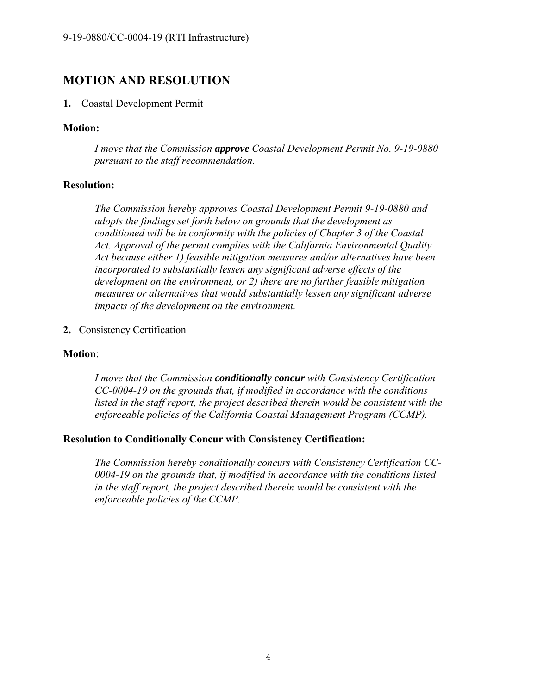# **MOTION AND RESOLUTION**

#### **1.** Coastal Development Permit

#### **Motion:**

*I move that the Commission approve Coastal Development Permit No. 9-19-0880 pursuant to the staff recommendation.* 

#### **Resolution:**

*The Commission hereby approves Coastal Development Permit 9-19-0880 and adopts the findings set forth below on grounds that the development as conditioned will be in conformity with the policies of Chapter 3 of the Coastal Act. Approval of the permit complies with the California Environmental Quality Act because either 1) feasible mitigation measures and/or alternatives have been incorporated to substantially lessen any significant adverse effects of the development on the environment, or 2) there are no further feasible mitigation measures or alternatives that would substantially lessen any significant adverse impacts of the development on the environment.* 

**2.** Consistency Certification

#### **Motion**:

*I move that the Commission conditionally concur with Consistency Certification CC-0004-19 on the grounds that, if modified in accordance with the conditions listed in the staff report, the project described therein would be consistent with the enforceable policies of the California Coastal Management Program (CCMP).* 

#### **Resolution to Conditionally Concur with Consistency Certification:**

*The Commission hereby conditionally concurs with Consistency Certification CC-0004-19 on the grounds that, if modified in accordance with the conditions listed in the staff report, the project described therein would be consistent with the enforceable policies of the CCMP.*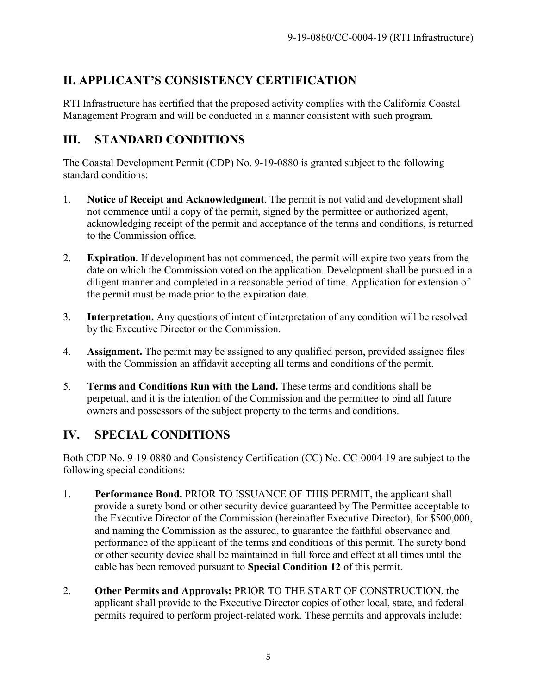# <span id="page-4-0"></span>**II. APPLICANT'S CONSISTENCY CERTIFICATION**

RTI Infrastructure has certified that the proposed activity complies with the California Coastal Management Program and will be conducted in a manner consistent with such program.

# <span id="page-4-1"></span>**III. STANDARD CONDITIONS**

The Coastal Development Permit (CDP) No. 9-19-0880 is granted subject to the following standard conditions:

- 1. **Notice of Receipt and Acknowledgment**. The permit is not valid and development shall not commence until a copy of the permit, signed by the permittee or authorized agent, acknowledging receipt of the permit and acceptance of the terms and conditions, is returned to the Commission office.
- 2. **Expiration.** If development has not commenced, the permit will expire two years from the date on which the Commission voted on the application. Development shall be pursued in a diligent manner and completed in a reasonable period of time. Application for extension of the permit must be made prior to the expiration date.
- 3. **Interpretation.** Any questions of intent of interpretation of any condition will be resolved by the Executive Director or the Commission.
- 4. **Assignment.** The permit may be assigned to any qualified person, provided assignee files with the Commission an affidavit accepting all terms and conditions of the permit.
- 5. **Terms and Conditions Run with the Land.** These terms and conditions shall be perpetual, and it is the intention of the Commission and the permittee to bind all future owners and possessors of the subject property to the terms and conditions.

# <span id="page-4-2"></span>**IV. SPECIAL CONDITIONS**

Both CDP No. 9-19-0880 and Consistency Certification (CC) No. CC-0004-19 are subject to the following special conditions:

- 1. **Performance Bond.** PRIOR TO ISSUANCE OF THIS PERMIT, the applicant shall provide a surety bond or other security device guaranteed by The Permittee acceptable to the Executive Director of the Commission (hereinafter Executive Director), for \$500,000, and naming the Commission as the assured, to guarantee the faithful observance and performance of the applicant of the terms and conditions of this permit. The surety bond or other security device shall be maintained in full force and effect at all times until the cable has been removed pursuant to **Special Condition 12** of this permit.
- 2. **Other Permits and Approvals:** PRIOR TO THE START OF CONSTRUCTION, the applicant shall provide to the Executive Director copies of other local, state, and federal permits required to perform project-related work. These permits and approvals include: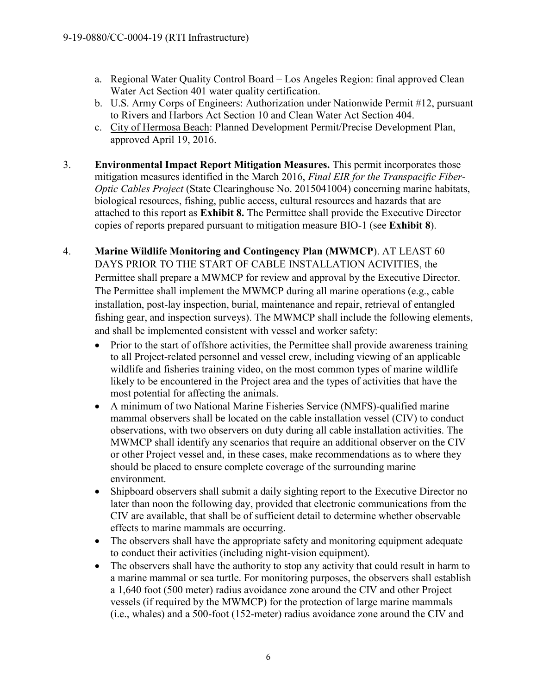- a. Regional Water Quality Control Board Los Angeles Region: final approved Clean Water Act Section 401 water quality certification.
- b. U.S. Army Corps of Engineers: Authorization under Nationwide Permit #12, pursuant to Rivers and Harbors Act Section 10 and Clean Water Act Section 404.
- c. City of Hermosa Beach: Planned Development Permit/Precise Development Plan, approved April 19, 2016.
- 3. **Environmental Impact Report Mitigation Measures.** This permit incorporates those mitigation measures identified in the March 2016, *Final EIR for the Transpacific Fiber-Optic Cables Project* (State Clearinghouse No. 2015041004) concerning marine habitats, biological resources, fishing, public access, cultural resources and hazards that are attached to this report as **Exhibit 8.** The Permittee shall provide the Executive Director copies of reports prepared pursuant to mitigation measure BIO-1 (see **Exhibit 8**).
- 4. **Marine Wildlife Monitoring and Contingency Plan (MWMCP**). AT LEAST 60 DAYS PRIOR TO THE START OF CABLE INSTALLATION ACIVITIES, the Permittee shall prepare a MWMCP for review and approval by the Executive Director. The Permittee shall implement the MWMCP during all marine operations (e.g., cable installation, post-lay inspection, burial, maintenance and repair, retrieval of entangled fishing gear, and inspection surveys). The MWMCP shall include the following elements, and shall be implemented consistent with vessel and worker safety:
	- Prior to the start of offshore activities, the Permittee shall provide awareness training to all Project-related personnel and vessel crew, including viewing of an applicable wildlife and fisheries training video, on the most common types of marine wildlife likely to be encountered in the Project area and the types of activities that have the most potential for affecting the animals.
	- A minimum of two National Marine Fisheries Service (NMFS)-qualified marine mammal observers shall be located on the cable installation vessel (CIV) to conduct observations, with two observers on duty during all cable installation activities. The MWMCP shall identify any scenarios that require an additional observer on the CIV or other Project vessel and, in these cases, make recommendations as to where they should be placed to ensure complete coverage of the surrounding marine environment.
	- Shipboard observers shall submit a daily sighting report to the Executive Director no later than noon the following day, provided that electronic communications from the CIV are available, that shall be of sufficient detail to determine whether observable effects to marine mammals are occurring.
	- The observers shall have the appropriate safety and monitoring equipment adequate to conduct their activities (including night-vision equipment).
	- The observers shall have the authority to stop any activity that could result in harm to a marine mammal or sea turtle. For monitoring purposes, the observers shall establish a 1,640 foot (500 meter) radius avoidance zone around the CIV and other Project vessels (if required by the MWMCP) for the protection of large marine mammals (i.e., whales) and a 500-foot (152-meter) radius avoidance zone around the CIV and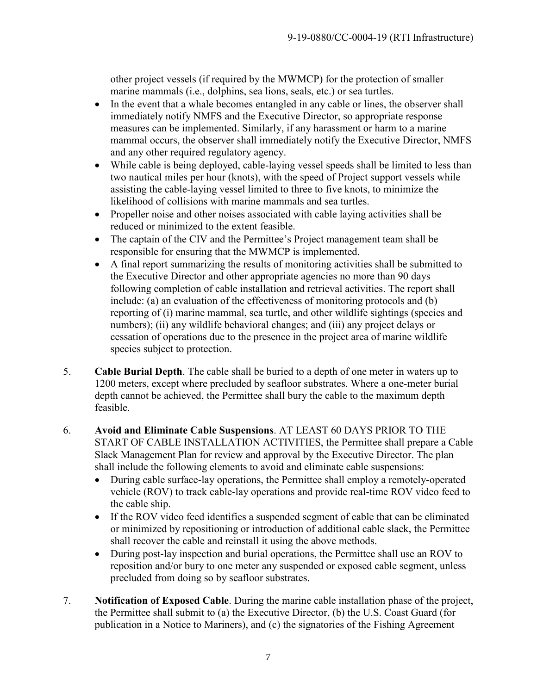other project vessels (if required by the MWMCP) for the protection of smaller marine mammals (i.e., dolphins, sea lions, seals, etc.) or sea turtles.

- In the event that a whale becomes entangled in any cable or lines, the observer shall immediately notify NMFS and the Executive Director, so appropriate response measures can be implemented. Similarly, if any harassment or harm to a marine mammal occurs, the observer shall immediately notify the Executive Director, NMFS and any other required regulatory agency.
- While cable is being deployed, cable-laying vessel speeds shall be limited to less than two nautical miles per hour (knots), with the speed of Project support vessels while assisting the cable-laying vessel limited to three to five knots, to minimize the likelihood of collisions with marine mammals and sea turtles.
- Propeller noise and other noises associated with cable laying activities shall be reduced or minimized to the extent feasible.
- The captain of the CIV and the Permittee's Project management team shall be responsible for ensuring that the MWMCP is implemented.
- A final report summarizing the results of monitoring activities shall be submitted to the Executive Director and other appropriate agencies no more than 90 days following completion of cable installation and retrieval activities. The report shall include: (a) an evaluation of the effectiveness of monitoring protocols and (b) reporting of (i) marine mammal, sea turtle, and other wildlife sightings (species and numbers); (ii) any wildlife behavioral changes; and (iii) any project delays or cessation of operations due to the presence in the project area of marine wildlife species subject to protection.
- 5. **Cable Burial Depth**. The cable shall be buried to a depth of one meter in waters up to 1200 meters, except where precluded by seafloor substrates. Where a one-meter burial depth cannot be achieved, the Permittee shall bury the cable to the maximum depth feasible.
- 6. **Avoid and Eliminate Cable Suspensions**. AT LEAST 60 DAYS PRIOR TO THE START OF CABLE INSTALLATION ACTIVITIES, the Permittee shall prepare a Cable Slack Management Plan for review and approval by the Executive Director. The plan shall include the following elements to avoid and eliminate cable suspensions:
	- During cable surface-lay operations, the Permittee shall employ a remotely-operated vehicle (ROV) to track cable-lay operations and provide real-time ROV video feed to the cable ship.
	- If the ROV video feed identifies a suspended segment of cable that can be eliminated or minimized by repositioning or introduction of additional cable slack, the Permittee shall recover the cable and reinstall it using the above methods.
	- During post-lay inspection and burial operations, the Permittee shall use an ROV to reposition and/or bury to one meter any suspended or exposed cable segment, unless precluded from doing so by seafloor substrates.
- 7. **Notification of Exposed Cable**. During the marine cable installation phase of the project, the Permittee shall submit to (a) the Executive Director, (b) the U.S. Coast Guard (for publication in a Notice to Mariners), and (c) the signatories of the Fishing Agreement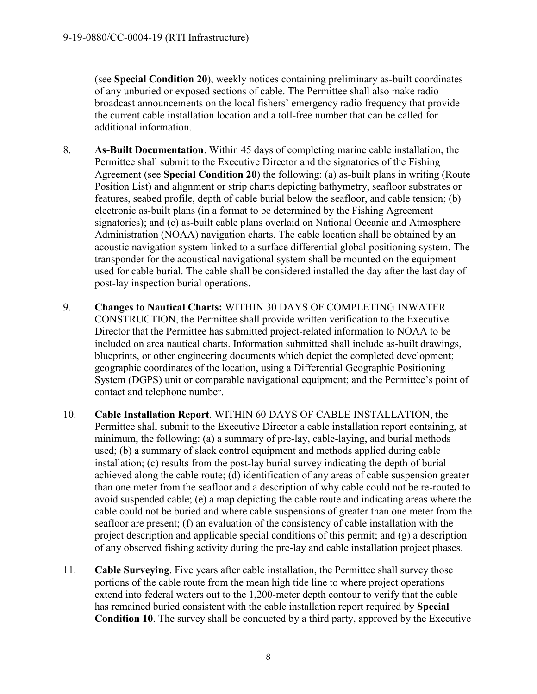(see **Special Condition 20**), weekly notices containing preliminary as-built coordinates of any unburied or exposed sections of cable. The Permittee shall also make radio broadcast announcements on the local fishers' emergency radio frequency that provide the current cable installation location and a toll-free number that can be called for additional information.

- 8. **As-Built Documentation**. Within 45 days of completing marine cable installation, the Permittee shall submit to the Executive Director and the signatories of the Fishing Agreement (see **Special Condition 20**) the following: (a) as-built plans in writing (Route Position List) and alignment or strip charts depicting bathymetry, seafloor substrates or features, seabed profile, depth of cable burial below the seafloor, and cable tension; (b) electronic as-built plans (in a format to be determined by the Fishing Agreement signatories); and (c) as-built cable plans overlaid on National Oceanic and Atmosphere Administration (NOAA) navigation charts. The cable location shall be obtained by an acoustic navigation system linked to a surface differential global positioning system. The transponder for the acoustical navigational system shall be mounted on the equipment used for cable burial. The cable shall be considered installed the day after the last day of post-lay inspection burial operations.
- 9. **Changes to Nautical Charts:** WITHIN 30 DAYS OF COMPLETING INWATER CONSTRUCTION, the Permittee shall provide written verification to the Executive Director that the Permittee has submitted project-related information to NOAA to be included on area nautical charts. Information submitted shall include as-built drawings, blueprints, or other engineering documents which depict the completed development; geographic coordinates of the location, using a Differential Geographic Positioning System (DGPS) unit or comparable navigational equipment; and the Permittee's point of contact and telephone number.
- 10. **Cable Installation Report**. WITHIN 60 DAYS OF CABLE INSTALLATION, the Permittee shall submit to the Executive Director a cable installation report containing, at minimum, the following: (a) a summary of pre-lay, cable-laying, and burial methods used; (b) a summary of slack control equipment and methods applied during cable installation; (c) results from the post-lay burial survey indicating the depth of burial achieved along the cable route; (d) identification of any areas of cable suspension greater than one meter from the seafloor and a description of why cable could not be re-routed to avoid suspended cable; (e) a map depicting the cable route and indicating areas where the cable could not be buried and where cable suspensions of greater than one meter from the seafloor are present; (f) an evaluation of the consistency of cable installation with the project description and applicable special conditions of this permit; and (g) a description of any observed fishing activity during the pre-lay and cable installation project phases.
- 11. **Cable Surveying**. Five years after cable installation, the Permittee shall survey those portions of the cable route from the mean high tide line to where project operations extend into federal waters out to the 1,200-meter depth contour to verify that the cable has remained buried consistent with the cable installation report required by **Special Condition 10**. The survey shall be conducted by a third party, approved by the Executive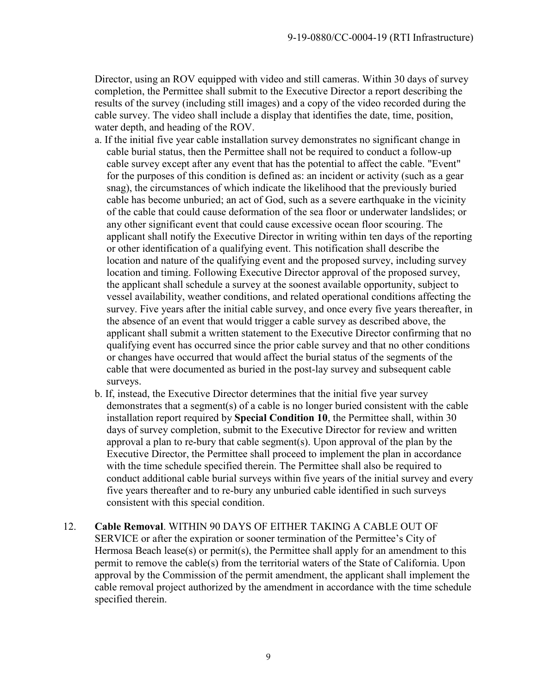Director, using an ROV equipped with video and still cameras. Within 30 days of survey completion, the Permittee shall submit to the Executive Director a report describing the results of the survey (including still images) and a copy of the video recorded during the cable survey. The video shall include a display that identifies the date, time, position, water depth, and heading of the ROV.

- a. If the initial five year cable installation survey demonstrates no significant change in cable burial status, then the Permittee shall not be required to conduct a follow-up cable survey except after any event that has the potential to affect the cable. "Event" for the purposes of this condition is defined as: an incident or activity (such as a gear snag), the circumstances of which indicate the likelihood that the previously buried cable has become unburied; an act of God, such as a severe earthquake in the vicinity of the cable that could cause deformation of the sea floor or underwater landslides; or any other significant event that could cause excessive ocean floor scouring. The applicant shall notify the Executive Director in writing within ten days of the reporting or other identification of a qualifying event. This notification shall describe the location and nature of the qualifying event and the proposed survey, including survey location and timing. Following Executive Director approval of the proposed survey, the applicant shall schedule a survey at the soonest available opportunity, subject to vessel availability, weather conditions, and related operational conditions affecting the survey. Five years after the initial cable survey, and once every five years thereafter, in the absence of an event that would trigger a cable survey as described above, the applicant shall submit a written statement to the Executive Director confirming that no qualifying event has occurred since the prior cable survey and that no other conditions or changes have occurred that would affect the burial status of the segments of the cable that were documented as buried in the post-lay survey and subsequent cable surveys.
- b. If, instead, the Executive Director determines that the initial five year survey demonstrates that a segment(s) of a cable is no longer buried consistent with the cable installation report required by **Special Condition 10**, the Permittee shall, within 30 days of survey completion, submit to the Executive Director for review and written approval a plan to re-bury that cable segment(s). Upon approval of the plan by the Executive Director, the Permittee shall proceed to implement the plan in accordance with the time schedule specified therein. The Permittee shall also be required to conduct additional cable burial surveys within five years of the initial survey and every five years thereafter and to re-bury any unburied cable identified in such surveys consistent with this special condition.
- 12. **Cable Removal**. WITHIN 90 DAYS OF EITHER TAKING A CABLE OUT OF SERVICE or after the expiration or sooner termination of the Permittee's City of Hermosa Beach lease(s) or permit(s), the Permittee shall apply for an amendment to this permit to remove the cable(s) from the territorial waters of the State of California. Upon approval by the Commission of the permit amendment, the applicant shall implement the cable removal project authorized by the amendment in accordance with the time schedule specified therein.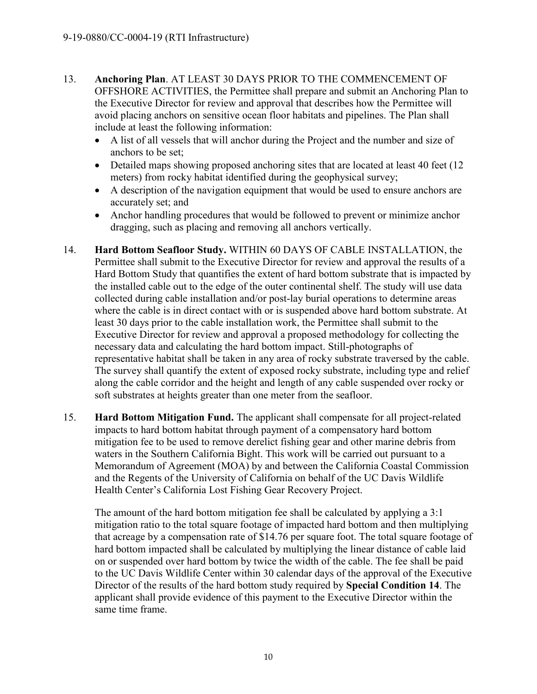- 13. **Anchoring Plan**. AT LEAST 30 DAYS PRIOR TO THE COMMENCEMENT OF OFFSHORE ACTIVITIES, the Permittee shall prepare and submit an Anchoring Plan to the Executive Director for review and approval that describes how the Permittee will avoid placing anchors on sensitive ocean floor habitats and pipelines. The Plan shall include at least the following information:
	- A list of all vessels that will anchor during the Project and the number and size of anchors to be set;
	- Detailed maps showing proposed anchoring sites that are located at least 40 feet (12) meters) from rocky habitat identified during the geophysical survey;
	- A description of the navigation equipment that would be used to ensure anchors are accurately set; and
	- Anchor handling procedures that would be followed to prevent or minimize anchor dragging, such as placing and removing all anchors vertically.
- 14. **Hard Bottom Seafloor Study.** WITHIN 60 DAYS OF CABLE INSTALLATION, the Permittee shall submit to the Executive Director for review and approval the results of a Hard Bottom Study that quantifies the extent of hard bottom substrate that is impacted by the installed cable out to the edge of the outer continental shelf. The study will use data collected during cable installation and/or post-lay burial operations to determine areas where the cable is in direct contact with or is suspended above hard bottom substrate. At least 30 days prior to the cable installation work, the Permittee shall submit to the Executive Director for review and approval a proposed methodology for collecting the necessary data and calculating the hard bottom impact. Still-photographs of representative habitat shall be taken in any area of rocky substrate traversed by the cable. The survey shall quantify the extent of exposed rocky substrate, including type and relief along the cable corridor and the height and length of any cable suspended over rocky or soft substrates at heights greater than one meter from the seafloor.
- 15. **Hard Bottom Mitigation Fund.** The applicant shall compensate for all project-related impacts to hard bottom habitat through payment of a compensatory hard bottom mitigation fee to be used to remove derelict fishing gear and other marine debris from waters in the Southern California Bight. This work will be carried out pursuant to a Memorandum of Agreement (MOA) by and between the California Coastal Commission and the Regents of the University of California on behalf of the UC Davis Wildlife Health Center's California Lost Fishing Gear Recovery Project.

The amount of the hard bottom mitigation fee shall be calculated by applying a 3:1 mitigation ratio to the total square footage of impacted hard bottom and then multiplying that acreage by a compensation rate of \$14.76 per square foot. The total square footage of hard bottom impacted shall be calculated by multiplying the linear distance of cable laid on or suspended over hard bottom by twice the width of the cable. The fee shall be paid to the UC Davis Wildlife Center within 30 calendar days of the approval of the Executive Director of the results of the hard bottom study required by **Special Condition 14**. The applicant shall provide evidence of this payment to the Executive Director within the same time frame.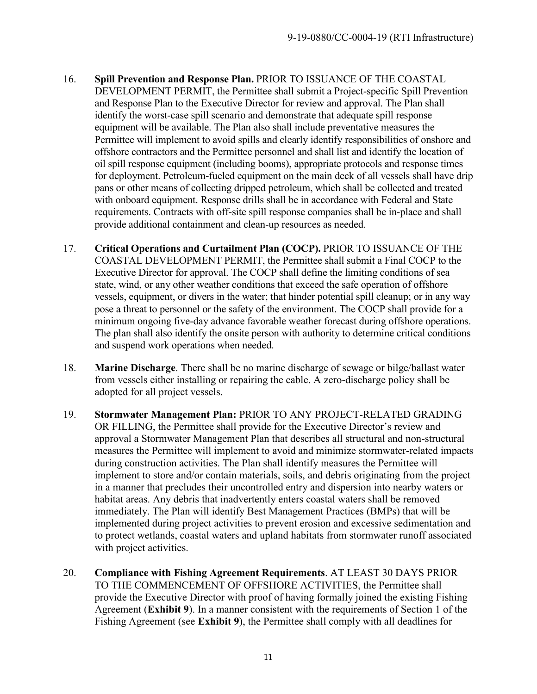- 16. **Spill Prevention and Response Plan.** PRIOR TO ISSUANCE OF THE COASTAL DEVELOPMENT PERMIT, the Permittee shall submit a Project-specific Spill Prevention and Response Plan to the Executive Director for review and approval. The Plan shall identify the worst-case spill scenario and demonstrate that adequate spill response equipment will be available. The Plan also shall include preventative measures the Permittee will implement to avoid spills and clearly identify responsibilities of onshore and offshore contractors and the Permittee personnel and shall list and identify the location of oil spill response equipment (including booms), appropriate protocols and response times for deployment. Petroleum-fueled equipment on the main deck of all vessels shall have drip pans or other means of collecting dripped petroleum, which shall be collected and treated with onboard equipment. Response drills shall be in accordance with Federal and State requirements. Contracts with off-site spill response companies shall be in-place and shall provide additional containment and clean-up resources as needed.
- 17. **Critical Operations and Curtailment Plan (COCP).** PRIOR TO ISSUANCE OF THE COASTAL DEVELOPMENT PERMIT, the Permittee shall submit a Final COCP to the Executive Director for approval. The COCP shall define the limiting conditions of sea state, wind, or any other weather conditions that exceed the safe operation of offshore vessels, equipment, or divers in the water; that hinder potential spill cleanup; or in any way pose a threat to personnel or the safety of the environment. The COCP shall provide for a minimum ongoing five-day advance favorable weather forecast during offshore operations. The plan shall also identify the onsite person with authority to determine critical conditions and suspend work operations when needed.
- 18. **Marine Discharge**. There shall be no marine discharge of sewage or bilge/ballast water from vessels either installing or repairing the cable. A zero-discharge policy shall be adopted for all project vessels.
- 19. **Stormwater Management Plan:** PRIOR TO ANY PROJECT-RELATED GRADING OR FILLING, the Permittee shall provide for the Executive Director's review and approval a Stormwater Management Plan that describes all structural and non-structural measures the Permittee will implement to avoid and minimize stormwater-related impacts during construction activities. The Plan shall identify measures the Permittee will implement to store and/or contain materials, soils, and debris originating from the project in a manner that precludes their uncontrolled entry and dispersion into nearby waters or habitat areas. Any debris that inadvertently enters coastal waters shall be removed immediately. The Plan will identify Best Management Practices (BMPs) that will be implemented during project activities to prevent erosion and excessive sedimentation and to protect wetlands, coastal waters and upland habitats from stormwater runoff associated with project activities.
- 20. **Compliance with Fishing Agreement Requirements**. AT LEAST 30 DAYS PRIOR TO THE COMMENCEMENT OF OFFSHORE ACTIVITIES, the Permittee shall provide the Executive Director with proof of having formally joined the existing Fishing Agreement (**Exhibit 9**). In a manner consistent with the requirements of Section 1 of the Fishing Agreement (see **Exhibit 9**), the Permittee shall comply with all deadlines for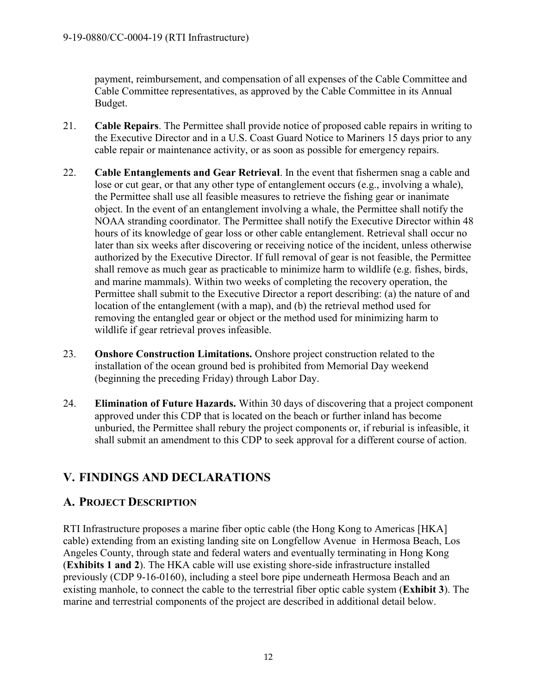payment, reimbursement, and compensation of all expenses of the Cable Committee and Cable Committee representatives, as approved by the Cable Committee in its Annual Budget.

- 21. **Cable Repairs**. The Permittee shall provide notice of proposed cable repairs in writing to the Executive Director and in a U.S. Coast Guard Notice to Mariners 15 days prior to any cable repair or maintenance activity, or as soon as possible for emergency repairs.
- 22. **Cable Entanglements and Gear Retrieval**. In the event that fishermen snag a cable and lose or cut gear, or that any other type of entanglement occurs (e.g., involving a whale), the Permittee shall use all feasible measures to retrieve the fishing gear or inanimate object. In the event of an entanglement involving a whale, the Permittee shall notify the NOAA stranding coordinator. The Permittee shall notify the Executive Director within 48 hours of its knowledge of gear loss or other cable entanglement. Retrieval shall occur no later than six weeks after discovering or receiving notice of the incident, unless otherwise authorized by the Executive Director. If full removal of gear is not feasible, the Permittee shall remove as much gear as practicable to minimize harm to wildlife (e.g. fishes, birds, and marine mammals). Within two weeks of completing the recovery operation, the Permittee shall submit to the Executive Director a report describing: (a) the nature of and location of the entanglement (with a map), and (b) the retrieval method used for removing the entangled gear or object or the method used for minimizing harm to wildlife if gear retrieval proves infeasible.
- 23. **Onshore Construction Limitations.** Onshore project construction related to the installation of the ocean ground bed is prohibited from Memorial Day weekend (beginning the preceding Friday) through Labor Day.
- 24. **Elimination of Future Hazards.** Within 30 days of discovering that a project component approved under this CDP that is located on the beach or further inland has become unburied, the Permittee shall rebury the project components or, if reburial is infeasible, it shall submit an amendment to this CDP to seek approval for a different course of action.

# <span id="page-11-0"></span>**V. FINDINGS AND DECLARATIONS**

# <span id="page-11-1"></span>**A. PROJECT DESCRIPTION**

RTI Infrastructure proposes a marine fiber optic cable (the Hong Kong to Americas [HKA] cable) extending from an existing landing site on Longfellow Avenue in Hermosa Beach, Los Angeles County, through state and federal waters and eventually terminating in Hong Kong (**Exhibits 1 and 2**). The HKA cable will use existing shore-side infrastructure installed previously (CDP 9-16-0160), including a steel bore pipe underneath Hermosa Beach and an existing manhole, to connect the cable to the terrestrial fiber optic cable system (**Exhibit 3**). The marine and terrestrial components of the project are described in additional detail below.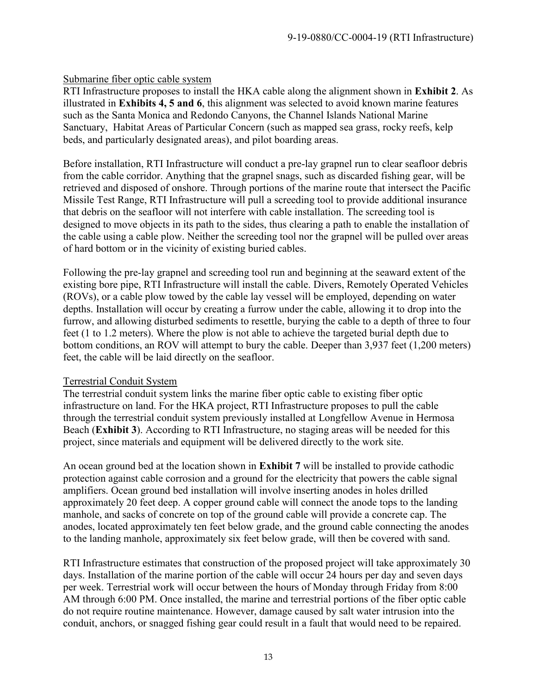#### Submarine fiber optic cable system

RTI Infrastructure proposes to install the HKA cable along the alignment shown in **Exhibit 2**. As illustrated in **Exhibits 4, 5 and 6**, this alignment was selected to avoid known marine features such as the Santa Monica and Redondo Canyons, the Channel Islands National Marine Sanctuary, Habitat Areas of Particular Concern (such as mapped sea grass, rocky reefs, kelp beds, and particularly designated areas), and pilot boarding areas.

Before installation, RTI Infrastructure will conduct a pre-lay grapnel run to clear seafloor debris from the cable corridor. Anything that the grapnel snags, such as discarded fishing gear, will be retrieved and disposed of onshore. Through portions of the marine route that intersect the Pacific Missile Test Range, RTI Infrastructure will pull a screeding tool to provide additional insurance that debris on the seafloor will not interfere with cable installation. The screeding tool is designed to move objects in its path to the sides, thus clearing a path to enable the installation of the cable using a cable plow. Neither the screeding tool nor the grapnel will be pulled over areas of hard bottom or in the vicinity of existing buried cables.

Following the pre-lay grapnel and screeding tool run and beginning at the seaward extent of the existing bore pipe, RTI Infrastructure will install the cable. Divers, Remotely Operated Vehicles (ROVs), or a cable plow towed by the cable lay vessel will be employed, depending on water depths. Installation will occur by creating a furrow under the cable, allowing it to drop into the furrow, and allowing disturbed sediments to resettle, burying the cable to a depth of three to four feet (1 to 1.2 meters). Where the plow is not able to achieve the targeted burial depth due to bottom conditions, an ROV will attempt to bury the cable. Deeper than 3,937 feet (1,200 meters) feet, the cable will be laid directly on the seafloor.

#### Terrestrial Conduit System

The terrestrial conduit system links the marine fiber optic cable to existing fiber optic infrastructure on land. For the HKA project, RTI Infrastructure proposes to pull the cable through the terrestrial conduit system previously installed at Longfellow Avenue in Hermosa Beach (**Exhibit 3**). According to RTI Infrastructure, no staging areas will be needed for this project, since materials and equipment will be delivered directly to the work site.

An ocean ground bed at the location shown in **Exhibit 7** will be installed to provide cathodic protection against cable corrosion and a ground for the electricity that powers the cable signal amplifiers. Ocean ground bed installation will involve inserting anodes in holes drilled approximately 20 feet deep. A copper ground cable will connect the anode tops to the landing manhole, and sacks of concrete on top of the ground cable will provide a concrete cap. The anodes, located approximately ten feet below grade, and the ground cable connecting the anodes to the landing manhole, approximately six feet below grade, will then be covered with sand.

RTI Infrastructure estimates that construction of the proposed project will take approximately 30 days. Installation of the marine portion of the cable will occur 24 hours per day and seven days per week. Terrestrial work will occur between the hours of Monday through Friday from 8:00 AM through 6:00 PM. Once installed, the marine and terrestrial portions of the fiber optic cable do not require routine maintenance. However, damage caused by salt water intrusion into the conduit, anchors, or snagged fishing gear could result in a fault that would need to be repaired.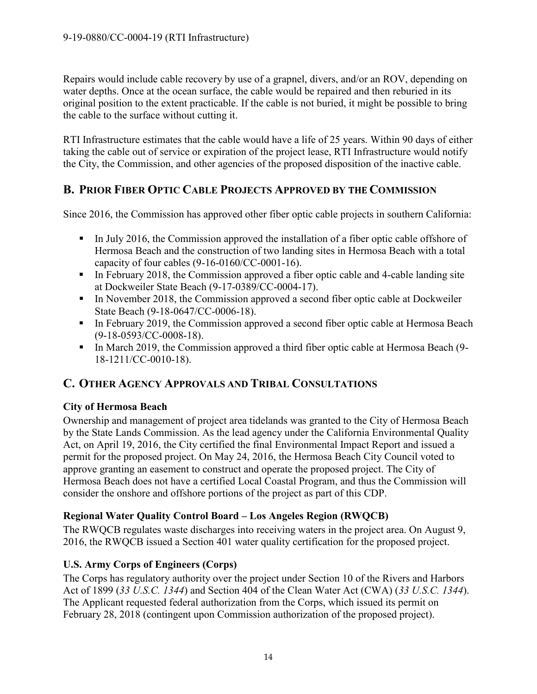Repairs would include cable recovery by use of a grapnel, divers, and/or an ROV, depending on water depths. Once at the ocean surface, the cable would be repaired and then reburied in its original position to the extent practicable. If the cable is not buried, it might be possible to bring the cable to the surface without cutting it.

RTI Infrastructure estimates that the cable would have a life of 25 years. Within 90 days of either taking the cable out of service or expiration of the project lease, RTI Infrastructure would notify the City, the Commission, and other agencies of the proposed disposition of the inactive cable.

# <span id="page-13-0"></span>**B. PRIOR FIBER OPTIC CABLE PROJECTS APPROVED BY THE COMMISSION**

<span id="page-13-1"></span>Since 2016, the Commission has approved other fiber optic cable projects in southern California:

- In July 2016, the Commission approved the installation of a fiber optic cable offshore of Hermosa Beach and the construction of two landing sites in Hermosa Beach with a total capacity of four cables (9-16-0160/CC-0001-16).
- In February 2018, the Commission approved a fiber optic cable and 4-cable landing site at Dockweiler State Beach (9-17-0389/CC-0004-17).
- In November 2018, the Commission approved a second fiber optic cable at Dockweiler State Beach (9-18-0647/CC-0006-18).
- In February 2019, the Commission approved a second fiber optic cable at Hermosa Beach (9-18-0593/CC-0008-18).
- In March 2019, the Commission approved a third fiber optic cable at Hermosa Beach (9-18-1211/CC-0010-18).

# **C. OTHER AGENCY APPROVALS AND TRIBAL CONSULTATIONS**

## **City of Hermosa Beach**

Ownership and management of project area tidelands was granted to the City of Hermosa Beach by the State Lands Commission. As the lead agency under the California Environmental Quality Act, on April 19, 2016, the City certified the final Environmental Impact Report and issued a permit for the proposed project. On May 24, 2016, the Hermosa Beach City Council voted to approve granting an easement to construct and operate the proposed project. The City of Hermosa Beach does not have a certified Local Coastal Program, and thus the Commission will consider the onshore and offshore portions of the project as part of this CDP.

## **Regional Water Quality Control Board – Los Angeles Region (RWQCB)**

The RWQCB regulates waste discharges into receiving waters in the project area. On August 9, 2016, the RWQCB issued a Section 401 water quality certification for the proposed project.

## **U.S. Army Corps of Engineers (Corps)**

The Corps has regulatory authority over the project under Section 10 of the Rivers and Harbors Act of 1899 (*33 U.S.C. 1344*) and Section 404 of the Clean Water Act (CWA) (*33 U.S.C. 1344*). The Applicant requested federal authorization from the Corps, which issued its permit on February 28, 2018 (contingent upon Commission authorization of the proposed project).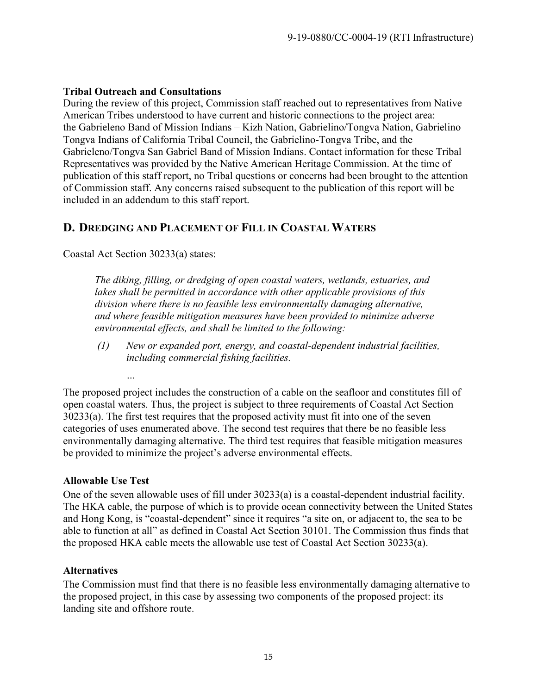## **Tribal Outreach and Consultations**

During the review of this project, Commission staff reached out to representatives from Native American Tribes understood to have current and historic connections to the project area: the Gabrieleno Band of Mission Indians – Kizh Nation, Gabrielino/Tongva Nation, Gabrielino Tongva Indians of California Tribal Council, the Gabrielino-Tongva Tribe, and the Gabrieleno/Tongva San Gabriel Band of Mission Indians. Contact information for these Tribal Representatives was provided by the Native American Heritage Commission. At the time of publication of this staff report, no Tribal questions or concerns had been brought to the attention of Commission staff. Any concerns raised subsequent to the publication of this report will be included in an addendum to this staff report.

# <span id="page-14-0"></span>**D. DREDGING AND PLACEMENT OF FILL IN COASTAL WATERS**

Coastal Act Section 30233(a) states:

*The diking, filling, or dredging of open coastal waters, wetlands, estuaries, and lakes shall be permitted in accordance with other applicable provisions of this division where there is no feasible less environmentally damaging alternative, and where feasible mitigation measures have been provided to minimize adverse environmental effects, and shall be limited to the following:* 

*(1) New or expanded port, energy, and coastal-dependent industrial facilities, including commercial fishing facilities.* 

The proposed project includes the construction of a cable on the seafloor and constitutes fill of open coastal waters. Thus, the project is subject to three requirements of Coastal Act Section 30233(a). The first test requires that the proposed activity must fit into one of the seven categories of uses enumerated above. The second test requires that there be no feasible less environmentally damaging alternative. The third test requires that feasible mitigation measures be provided to minimize the project's adverse environmental effects.

## **Allowable Use Test**

 *…*

One of the seven allowable uses of fill under 30233(a) is a coastal-dependent industrial facility. The HKA cable, the purpose of which is to provide ocean connectivity between the United States and Hong Kong, is "coastal-dependent" since it requires "a site on, or adjacent to, the sea to be able to function at all" as defined in Coastal Act Section 30101. The Commission thus finds that the proposed HKA cable meets the allowable use test of Coastal Act Section 30233(a).

## **Alternatives**

The Commission must find that there is no feasible less environmentally damaging alternative to the proposed project, in this case by assessing two components of the proposed project: its landing site and offshore route.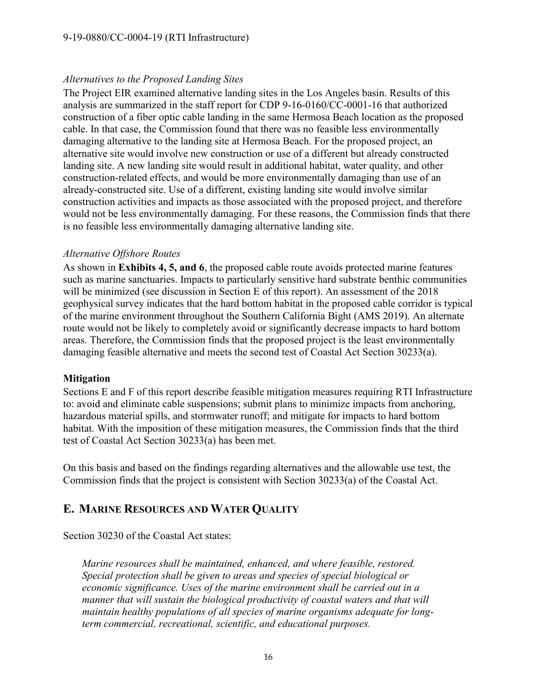#### *Alternatives to the Proposed Landing Sites*

The Project EIR examined alternative landing sites in the Los Angeles basin. Results of this analysis are summarized in the staff report for CDP 9-16-0160/CC-0001-16 that authorized construction of a fiber optic cable landing in the same Hermosa Beach location as the proposed cable. In that case, the Commission found that there was no feasible less environmentally damaging alternative to the landing site at Hermosa Beach. For the proposed project, an alternative site would involve new construction or use of a different but already constructed landing site. A new landing site would result in additional habitat, water quality, and other construction-related effects, and would be more environmentally damaging than use of an already-constructed site. Use of a different, existing landing site would involve similar construction activities and impacts as those associated with the proposed project, and therefore would not be less environmentally damaging. For these reasons, the Commission finds that there is no feasible less environmentally damaging alternative landing site.

#### *Alternative Offshore Routes*

As shown in **Exhibits 4, 5, and 6**, the proposed cable route avoids protected marine features such as marine sanctuaries. Impacts to particularly sensitive hard substrate benthic communities will be minimized (see discussion in Section E of this report). An assessment of the 2018 geophysical survey indicates that the hard bottom habitat in the proposed cable corridor is typical of the marine environment throughout the Southern California Bight (AMS 2019). An alternate route would not be likely to completely avoid or significantly decrease impacts to hard bottom areas. Therefore, the Commission finds that the proposed project is the least environmentally damaging feasible alternative and meets the second test of Coastal Act Section 30233(a).

#### **Mitigation**

Sections E and F of this report describe feasible mitigation measures requiring RTI Infrastructure to: avoid and eliminate cable suspensions; submit plans to minimize impacts from anchoring, hazardous material spills, and stormwater runoff; and mitigate for impacts to hard bottom habitat. With the imposition of these mitigation measures, the Commission finds that the third test of Coastal Act Section 30233(a) has been met.

On this basis and based on the findings regarding alternatives and the allowable use test, the Commission finds that the project is consistent with Section 30233(a) of the Coastal Act.

# <span id="page-15-0"></span>**E. MARINE RESOURCES AND WATER QUALITY**

Section 30230 of the Coastal Act states:

*Marine resources shall be maintained, enhanced, and where feasible, restored. Special protection shall be given to areas and species of special biological or economic significance. Uses of the marine environment shall be carried out in a manner that will sustain the biological productivity of coastal waters and that will maintain healthy populations of all species of marine organisms adequate for longterm commercial, recreational, scientific, and educational purposes.*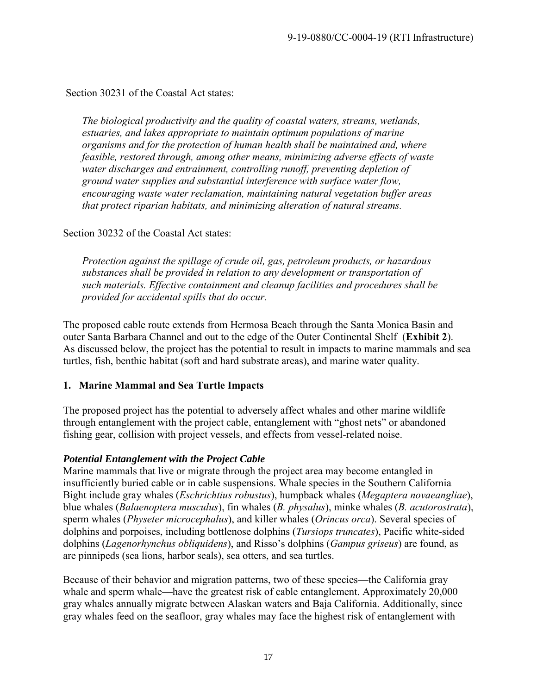Section 30231 of the Coastal Act states:

*The biological productivity and the quality of coastal waters, streams, wetlands, estuaries, and lakes appropriate to maintain optimum populations of marine organisms and for the protection of human health shall be maintained and, where feasible, restored through, among other means, minimizing adverse effects of waste water discharges and entrainment, controlling runoff, preventing depletion of ground water supplies and substantial interference with surface water flow, encouraging waste water reclamation, maintaining natural vegetation buffer areas that protect riparian habitats, and minimizing alteration of natural streams.* 

#### Section 30232 of the Coastal Act states:

*Protection against the spillage of crude oil, gas, petroleum products, or hazardous substances shall be provided in relation to any development or transportation of such materials. Effective containment and cleanup facilities and procedures shall be provided for accidental spills that do occur.* 

The proposed cable route extends from Hermosa Beach through the Santa Monica Basin and outer Santa Barbara Channel and out to the edge of the Outer Continental Shelf (**Exhibit 2**). As discussed below, the project has the potential to result in impacts to marine mammals and sea turtles, fish, benthic habitat (soft and hard substrate areas), and marine water quality.

#### **1. Marine Mammal and Sea Turtle Impacts**

The proposed project has the potential to adversely affect whales and other marine wildlife through entanglement with the project cable, entanglement with "ghost nets" or abandoned fishing gear, collision with project vessels, and effects from vessel-related noise.

#### *Potential Entanglement with the Project Cable*

Marine mammals that live or migrate through the project area may become entangled in insufficiently buried cable or in cable suspensions. Whale species in the Southern California Bight include gray whales (*Eschrichtius robustus*), humpback whales (*Megaptera novaeangliae*), blue whales (*Balaenoptera musculus*), fin whales (*B. physalus*), minke whales (*B. acutorostrata*), sperm whales (*Physeter microcephalus*), and killer whales (*Orincus orca*). Several species of dolphins and porpoises, including bottlenose dolphins (*Tursiops truncates*), Pacific white-sided dolphins (*Lagenorhynchus obliquidens*), and Risso's dolphins (*Gampus griseus*) are found, as are pinnipeds (sea lions, harbor seals), sea otters, and sea turtles.

Because of their behavior and migration patterns, two of these species—the California gray whale and sperm whale—have the greatest risk of cable entanglement. Approximately 20,000 gray whales annually migrate between Alaskan waters and Baja California. Additionally, since gray whales feed on the seafloor, gray whales may face the highest risk of entanglement with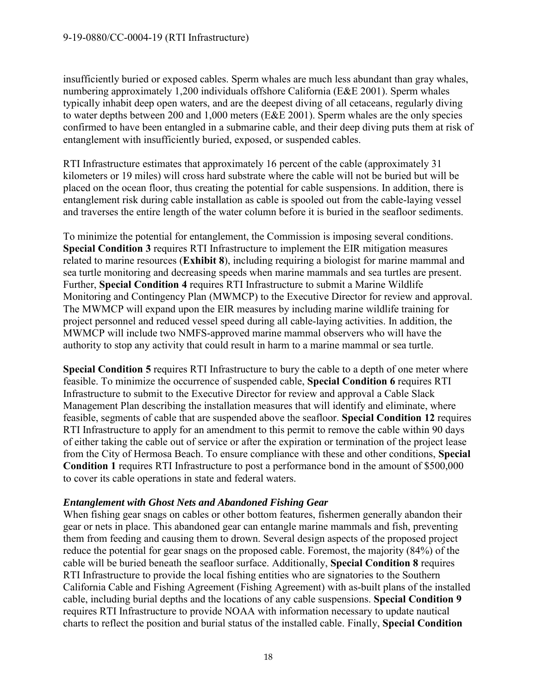insufficiently buried or exposed cables. Sperm whales are much less abundant than gray whales, numbering approximately 1,200 individuals offshore California (E&E 2001). Sperm whales typically inhabit deep open waters, and are the deepest diving of all cetaceans, regularly diving to water depths between 200 and 1,000 meters (E&E 2001). Sperm whales are the only species confirmed to have been entangled in a submarine cable, and their deep diving puts them at risk of entanglement with insufficiently buried, exposed, or suspended cables.

RTI Infrastructure estimates that approximately 16 percent of the cable (approximately 31 kilometers or 19 miles) will cross hard substrate where the cable will not be buried but will be placed on the ocean floor, thus creating the potential for cable suspensions. In addition, there is entanglement risk during cable installation as cable is spooled out from the cable-laying vessel and traverses the entire length of the water column before it is buried in the seafloor sediments.

To minimize the potential for entanglement, the Commission is imposing several conditions. **Special Condition 3** requires RTI Infrastructure to implement the EIR mitigation measures related to marine resources (**Exhibit 8**), including requiring a biologist for marine mammal and sea turtle monitoring and decreasing speeds when marine mammals and sea turtles are present. Further, **Special Condition 4** requires RTI Infrastructure to submit a Marine Wildlife Monitoring and Contingency Plan (MWMCP) to the Executive Director for review and approval. The MWMCP will expand upon the EIR measures by including marine wildlife training for project personnel and reduced vessel speed during all cable-laying activities. In addition, the MWMCP will include two NMFS-approved marine mammal observers who will have the authority to stop any activity that could result in harm to a marine mammal or sea turtle.

**Special Condition 5** requires RTI Infrastructure to bury the cable to a depth of one meter where feasible. To minimize the occurrence of suspended cable, **Special Condition 6** requires RTI Infrastructure to submit to the Executive Director for review and approval a Cable Slack Management Plan describing the installation measures that will identify and eliminate, where feasible, segments of cable that are suspended above the seafloor. **Special Condition 12** requires RTI Infrastructure to apply for an amendment to this permit to remove the cable within 90 days of either taking the cable out of service or after the expiration or termination of the project lease from the City of Hermosa Beach. To ensure compliance with these and other conditions, **Special Condition 1** requires RTI Infrastructure to post a performance bond in the amount of \$500,000 to cover its cable operations in state and federal waters.

#### *Entanglement with Ghost Nets and Abandoned Fishing Gear*

When fishing gear snags on cables or other bottom features, fishermen generally abandon their gear or nets in place. This abandoned gear can entangle marine mammals and fish, preventing them from feeding and causing them to drown. Several design aspects of the proposed project reduce the potential for gear snags on the proposed cable. Foremost, the majority (84%) of the cable will be buried beneath the seafloor surface. Additionally, **Special Condition 8** requires RTI Infrastructure to provide the local fishing entities who are signatories to the Southern California Cable and Fishing Agreement (Fishing Agreement) with as-built plans of the installed cable, including burial depths and the locations of any cable suspensions. **Special Condition 9** requires RTI Infrastructure to provide NOAA with information necessary to update nautical charts to reflect the position and burial status of the installed cable. Finally, **Special Condition**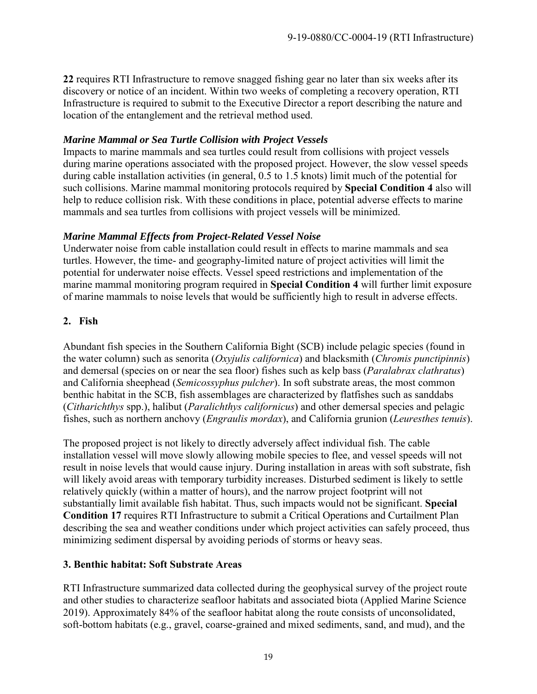**22** requires RTI Infrastructure to remove snagged fishing gear no later than six weeks after its discovery or notice of an incident. Within two weeks of completing a recovery operation, RTI Infrastructure is required to submit to the Executive Director a report describing the nature and location of the entanglement and the retrieval method used.

## *Marine Mammal or Sea Turtle Collision with Project Vessels*

Impacts to marine mammals and sea turtles could result from collisions with project vessels during marine operations associated with the proposed project. However, the slow vessel speeds during cable installation activities (in general, 0.5 to 1.5 knots) limit much of the potential for such collisions. Marine mammal monitoring protocols required by **Special Condition 4** also will help to reduce collision risk. With these conditions in place, potential adverse effects to marine mammals and sea turtles from collisions with project vessels will be minimized.

## *Marine Mammal Effects from Project-Related Vessel Noise*

Underwater noise from cable installation could result in effects to marine mammals and sea turtles. However, the time- and geography-limited nature of project activities will limit the potential for underwater noise effects. Vessel speed restrictions and implementation of the marine mammal monitoring program required in **Special Condition 4** will further limit exposure of marine mammals to noise levels that would be sufficiently high to result in adverse effects.

#### **2. Fish**

Abundant fish species in the Southern California Bight (SCB) include pelagic species (found in the water column) such as senorita (*Oxyjulis californica*) and blacksmith (*Chromis punctipinnis*) and demersal (species on or near the sea floor) fishes such as kelp bass (*Paralabrax clathratus*) and California sheephead (*Semicossyphus pulcher*). In soft substrate areas, the most common benthic habitat in the SCB, fish assemblages are characterized by flatfishes such as sanddabs (*Citharichthys* spp.), halibut (*Paralichthys californicus*) and other demersal species and pelagic fishes, such as northern anchovy (*Engraulis mordax*), and California grunion (*Leuresthes tenuis*).

The proposed project is not likely to directly adversely affect individual fish. The cable installation vessel will move slowly allowing mobile species to flee, and vessel speeds will not result in noise levels that would cause injury. During installation in areas with soft substrate, fish will likely avoid areas with temporary turbidity increases. Disturbed sediment is likely to settle relatively quickly (within a matter of hours), and the narrow project footprint will not substantially limit available fish habitat. Thus, such impacts would not be significant. **Special Condition 17** requires RTI Infrastructure to submit a Critical Operations and Curtailment Plan describing the sea and weather conditions under which project activities can safely proceed, thus minimizing sediment dispersal by avoiding periods of storms or heavy seas.

## **3. Benthic habitat: Soft Substrate Areas**

RTI Infrastructure summarized data collected during the geophysical survey of the project route and other studies to characterize seafloor habitats and associated biota (Applied Marine Science 2019). Approximately 84% of the seafloor habitat along the route consists of unconsolidated, soft-bottom habitats (e.g., gravel, coarse-grained and mixed sediments, sand, and mud), and the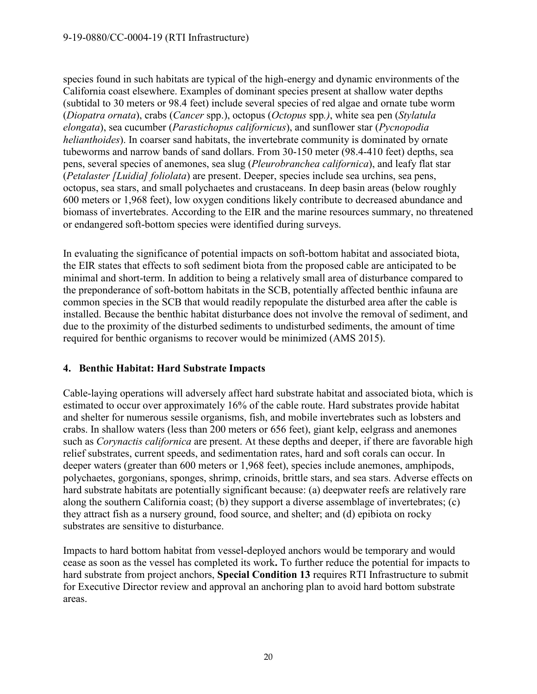species found in such habitats are typical of the high-energy and dynamic environments of the California coast elsewhere. Examples of dominant species present at shallow water depths (subtidal to 30 meters or 98.4 feet) include several species of red algae and ornate tube worm (*Diopatra ornata*), crabs (*Cancer* spp.), octopus (*Octopus* spp*.)*, white sea pen (*Stylatula elongata*), sea cucumber (*Parastichopus californicus*), and sunflower star (*Pycnopodia helianthoides*). In coarser sand habitats, the invertebrate community is dominated by ornate tubeworms and narrow bands of sand dollars. From 30-150 meter (98.4-410 feet) depths, sea pens, several species of anemones, sea slug (*Pleurobranchea californica*), and leafy flat star (*Petalaster [Luidia] foliolata*) are present. Deeper, species include sea urchins, sea pens, octopus, sea stars, and small polychaetes and crustaceans. In deep basin areas (below roughly 600 meters or 1,968 feet), low oxygen conditions likely contribute to decreased abundance and biomass of invertebrates. According to the EIR and the marine resources summary, no threatened or endangered soft-bottom species were identified during surveys.

In evaluating the significance of potential impacts on soft-bottom habitat and associated biota, the EIR states that effects to soft sediment biota from the proposed cable are anticipated to be minimal and short-term. In addition to being a relatively small area of disturbance compared to the preponderance of soft-bottom habitats in the SCB, potentially affected benthic infauna are common species in the SCB that would readily repopulate the disturbed area after the cable is installed. Because the benthic habitat disturbance does not involve the removal of sediment, and due to the proximity of the disturbed sediments to undisturbed sediments, the amount of time required for benthic organisms to recover would be minimized (AMS 2015).

#### **4. Benthic Habitat: Hard Substrate Impacts**

Cable-laying operations will adversely affect hard substrate habitat and associated biota, which is estimated to occur over approximately 16% of the cable route. Hard substrates provide habitat and shelter for numerous sessile organisms, fish, and mobile invertebrates such as lobsters and crabs. In shallow waters (less than 200 meters or 656 feet), giant kelp, eelgrass and anemones such as *Corynactis californica* are present. At these depths and deeper, if there are favorable high relief substrates, current speeds, and sedimentation rates, hard and soft corals can occur. In deeper waters (greater than 600 meters or 1,968 feet), species include anemones, amphipods, polychaetes, gorgonians, sponges, shrimp, crinoids, brittle stars, and sea stars. Adverse effects on hard substrate habitats are potentially significant because: (a) deepwater reefs are relatively rare along the southern California coast; (b) they support a diverse assemblage of invertebrates; (c) they attract fish as a nursery ground, food source, and shelter; and (d) epibiota on rocky substrates are sensitive to disturbance.

Impacts to hard bottom habitat from vessel-deployed anchors would be temporary and would cease as soon as the vessel has completed its work**.** To further reduce the potential for impacts to hard substrate from project anchors, **Special Condition 13** requires RTI Infrastructure to submit for Executive Director review and approval an anchoring plan to avoid hard bottom substrate areas.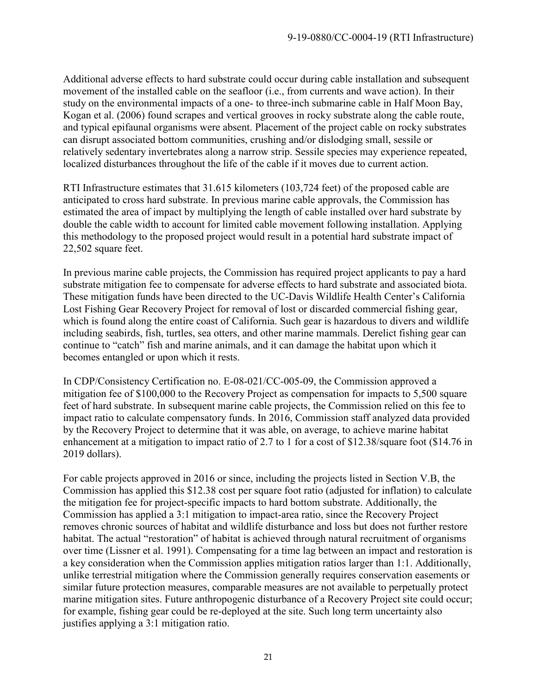Additional adverse effects to hard substrate could occur during cable installation and subsequent movement of the installed cable on the seafloor (i.e., from currents and wave action). In their study on the environmental impacts of a one- to three-inch submarine cable in Half Moon Bay, Kogan et al. (2006) found scrapes and vertical grooves in rocky substrate along the cable route, and typical epifaunal organisms were absent. Placement of the project cable on rocky substrates can disrupt associated bottom communities, crushing and/or dislodging small, sessile or relatively sedentary invertebrates along a narrow strip. Sessile species may experience repeated, localized disturbances throughout the life of the cable if it moves due to current action.

RTI Infrastructure estimates that 31.615 kilometers (103,724 feet) of the proposed cable are anticipated to cross hard substrate. In previous marine cable approvals, the Commission has estimated the area of impact by multiplying the length of cable installed over hard substrate by double the cable width to account for limited cable movement following installation. Applying this methodology to the proposed project would result in a potential hard substrate impact of 22,502 square feet.

In previous marine cable projects, the Commission has required project applicants to pay a hard substrate mitigation fee to compensate for adverse effects to hard substrate and associated biota. These mitigation funds have been directed to the UC-Davis Wildlife Health Center's California Lost Fishing Gear Recovery Project for removal of lost or discarded commercial fishing gear, which is found along the entire coast of California. Such gear is hazardous to divers and wildlife including seabirds, fish, turtles, sea otters, and other marine mammals. Derelict fishing gear can continue to "catch" fish and marine animals, and it can damage the habitat upon which it becomes entangled or upon which it rests.

In CDP/Consistency Certification no. E-08-021/CC-005-09, the Commission approved a mitigation fee of \$100,000 to the Recovery Project as compensation for impacts to 5,500 square feet of hard substrate. In subsequent marine cable projects, the Commission relied on this fee to impact ratio to calculate compensatory funds. In 2016, Commission staff analyzed data provided by the Recovery Project to determine that it was able, on average, to achieve marine habitat enhancement at a mitigation to impact ratio of 2.7 to 1 for a cost of \$12.38/square foot (\$14.76 in 2019 dollars).

For cable projects approved in 2016 or since, including the projects listed in Section V.B, the Commission has applied this \$12.38 cost per square foot ratio (adjusted for inflation) to calculate the mitigation fee for project-specific impacts to hard bottom substrate. Additionally, the Commission has applied a 3:1 mitigation to impact-area ratio, since the Recovery Project removes chronic sources of habitat and wildlife disturbance and loss but does not further restore habitat. The actual "restoration" of habitat is achieved through natural recruitment of organisms over time (Lissner et al. 1991). Compensating for a time lag between an impact and restoration is a key consideration when the Commission applies mitigation ratios larger than 1:1. Additionally, unlike terrestrial mitigation where the Commission generally requires conservation easements or similar future protection measures, comparable measures are not available to perpetually protect marine mitigation sites. Future anthropogenic disturbance of a Recovery Project site could occur; for example, fishing gear could be re-deployed at the site. Such long term uncertainty also justifies applying a 3:1 mitigation ratio.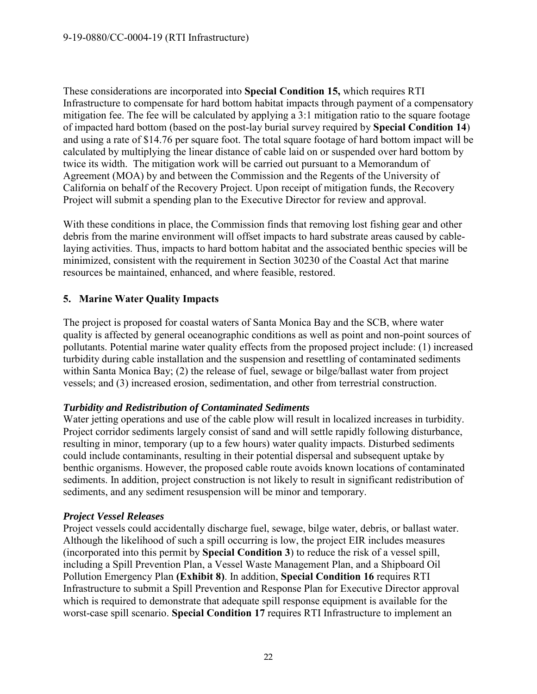These considerations are incorporated into **Special Condition 15,** which requires RTI Infrastructure to compensate for hard bottom habitat impacts through payment of a compensatory mitigation fee. The fee will be calculated by applying a 3:1 mitigation ratio to the square footage of impacted hard bottom (based on the post-lay burial survey required by **Special Condition 14**) and using a rate of \$14.76 per square foot. The total square footage of hard bottom impact will be calculated by multiplying the linear distance of cable laid on or suspended over hard bottom by twice its width. The mitigation work will be carried out pursuant to a Memorandum of Agreement (MOA) by and between the Commission and the Regents of the University of California on behalf of the Recovery Project. Upon receipt of mitigation funds, the Recovery Project will submit a spending plan to the Executive Director for review and approval.

With these conditions in place, the Commission finds that removing lost fishing gear and other debris from the marine environment will offset impacts to hard substrate areas caused by cablelaying activities. Thus, impacts to hard bottom habitat and the associated benthic species will be minimized, consistent with the requirement in Section 30230 of the Coastal Act that marine resources be maintained, enhanced, and where feasible, restored.

## **5. Marine Water Quality Impacts**

The project is proposed for coastal waters of Santa Monica Bay and the SCB, where water quality is affected by general oceanographic conditions as well as point and non-point sources of pollutants. Potential marine water quality effects from the proposed project include: (1) increased turbidity during cable installation and the suspension and resettling of contaminated sediments within Santa Monica Bay; (2) the release of fuel, sewage or bilge/ballast water from project vessels; and (3) increased erosion, sedimentation, and other from terrestrial construction.

#### *Turbidity and Redistribution of Contaminated Sediments*

Water jetting operations and use of the cable plow will result in localized increases in turbidity. Project corridor sediments largely consist of sand and will settle rapidly following disturbance, resulting in minor, temporary (up to a few hours) water quality impacts. Disturbed sediments could include contaminants, resulting in their potential dispersal and subsequent uptake by benthic organisms. However, the proposed cable route avoids known locations of contaminated sediments. In addition, project construction is not likely to result in significant redistribution of sediments, and any sediment resuspension will be minor and temporary.

#### *Project Vessel Releases*

Project vessels could accidentally discharge fuel, sewage, bilge water, debris, or ballast water. Although the likelihood of such a spill occurring is low, the project EIR includes measures (incorporated into this permit by **Special Condition 3**) to reduce the risk of a vessel spill, including a Spill Prevention Plan, a Vessel Waste Management Plan, and a Shipboard Oil Pollution Emergency Plan **(Exhibit 8)**. In addition, **Special Condition 16** requires RTI Infrastructure to submit a Spill Prevention and Response Plan for Executive Director approval which is required to demonstrate that adequate spill response equipment is available for the worst-case spill scenario. **Special Condition 17** requires RTI Infrastructure to implement an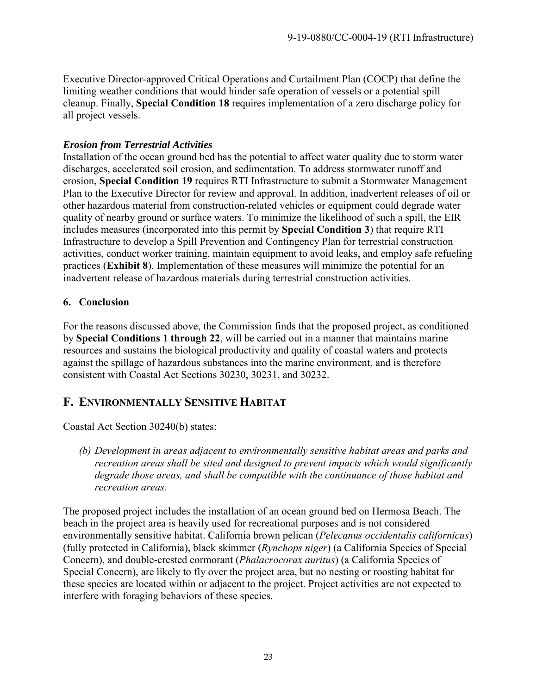Executive Director-approved Critical Operations and Curtailment Plan (COCP) that define the limiting weather conditions that would hinder safe operation of vessels or a potential spill cleanup. Finally, **Special Condition 18** requires implementation of a zero discharge policy for all project vessels.

## *Erosion from Terrestrial Activities*

Installation of the ocean ground bed has the potential to affect water quality due to storm water discharges, accelerated soil erosion, and sedimentation. To address stormwater runoff and erosion, **Special Condition 19** requires RTI Infrastructure to submit a Stormwater Management Plan to the Executive Director for review and approval. In addition, inadvertent releases of oil or other hazardous material from construction-related vehicles or equipment could degrade water quality of nearby ground or surface waters. To minimize the likelihood of such a spill, the EIR includes measures (incorporated into this permit by **Special Condition 3**) that require RTI Infrastructure to develop a Spill Prevention and Contingency Plan for terrestrial construction activities, conduct worker training, maintain equipment to avoid leaks, and employ safe refueling practices (**Exhibit 8**). Implementation of these measures will minimize the potential for an inadvertent release of hazardous materials during terrestrial construction activities.

## **6. Conclusion**

For the reasons discussed above, the Commission finds that the proposed project, as conditioned by **Special Conditions 1 through 22**, will be carried out in a manner that maintains marine resources and sustains the biological productivity and quality of coastal waters and protects against the spillage of hazardous substances into the marine environment, and is therefore consistent with Coastal Act Sections 30230, 30231, and 30232.

# <span id="page-22-0"></span>**F. ENVIRONMENTALLY SENSITIVE HABITAT**

Coastal Act Section 30240(b) states:

*(b) Development in areas adjacent to environmentally sensitive habitat areas and parks and recreation areas shall be sited and designed to prevent impacts which would significantly degrade those areas, and shall be compatible with the continuance of those habitat and recreation areas.* 

The proposed project includes the installation of an ocean ground bed on Hermosa Beach. The beach in the project area is heavily used for recreational purposes and is not considered environmentally sensitive habitat. California brown pelican (*Pelecanus occidentalis californicus*) (fully protected in California), black skimmer (*Rynchops niger*) (a California Species of Special Concern), and double-crested cormorant (*Phalacrocorax auritus*) (a California Species of Special Concern), are likely to fly over the project area, but no nesting or roosting habitat for these species are located within or adjacent to the project. Project activities are not expected to interfere with foraging behaviors of these species.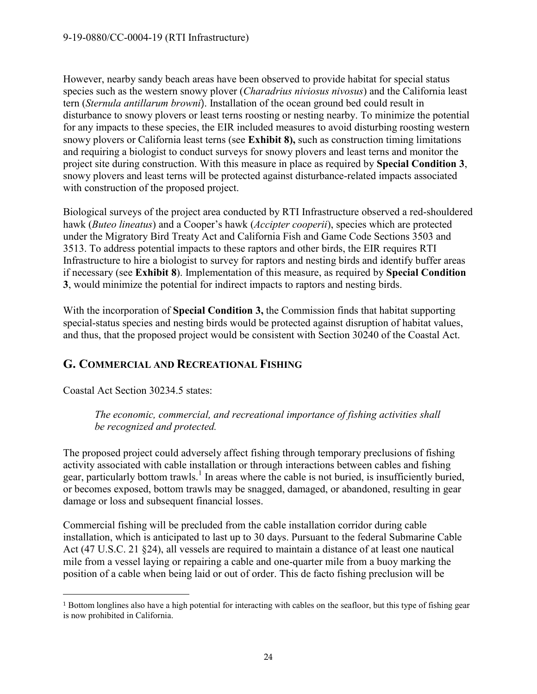However, nearby sandy beach areas have been observed to provide habitat for special status species such as the western snowy plover (*Charadrius niviosus nivosus*) and the California least tern (*Sternula antillarum browni*). Installation of the ocean ground bed could result in disturbance to snowy plovers or least terns roosting or nesting nearby. To minimize the potential for any impacts to these species, the EIR included measures to avoid disturbing roosting western snowy plovers or California least terns (see **Exhibit 8),** such as construction timing limitations and requiring a biologist to conduct surveys for snowy plovers and least terns and monitor the project site during construction. With this measure in place as required by **Special Condition 3**, snowy plovers and least terns will be protected against disturbance-related impacts associated with construction of the proposed project.

Biological surveys of the project area conducted by RTI Infrastructure observed a red-shouldered hawk (*Buteo lineatus*) and a Cooper's hawk (*Accipter cooperii*), species which are protected under the Migratory Bird Treaty Act and California Fish and Game Code Sections 3503 and 3513. To address potential impacts to these raptors and other birds, the EIR requires RTI Infrastructure to hire a biologist to survey for raptors and nesting birds and identify buffer areas if necessary (see **Exhibit 8**). Implementation of this measure, as required by **Special Condition 3**, would minimize the potential for indirect impacts to raptors and nesting birds.

With the incorporation of **Special Condition 3,** the Commission finds that habitat supporting special-status species and nesting birds would be protected against disruption of habitat values, and thus, that the proposed project would be consistent with Section 30240 of the Coastal Act.

# <span id="page-23-0"></span>**G. COMMERCIAL AND RECREATIONAL FISHING**

Coastal Act Section 30234.5 states:

 $\overline{a}$ 

*The economic, commercial, and recreational importance of fishing activities shall be recognized and protected.* 

The proposed project could adversely affect fishing through temporary preclusions of fishing activity associated with cable installation or through interactions between cables and fishing gear, particularly bottom trawls.<sup>1</sup> In areas where the cable is not buried, is insufficiently buried, or becomes exposed, bottom trawls may be snagged, damaged, or abandoned, resulting in gear damage or loss and subsequent financial losses.

Commercial fishing will be precluded from the cable installation corridor during cable installation, which is anticipated to last up to 30 days. Pursuant to the federal Submarine Cable Act (47 U.S.C. 21 §24), all vessels are required to maintain a distance of at least one nautical mile from a vessel laying or repairing a cable and one-quarter mile from a buoy marking the position of a cable when being laid or out of order. This de facto fishing preclusion will be

<sup>1</sup> Bottom longlines also have a high potential for interacting with cables on the seafloor, but this type of fishing gear is now prohibited in California.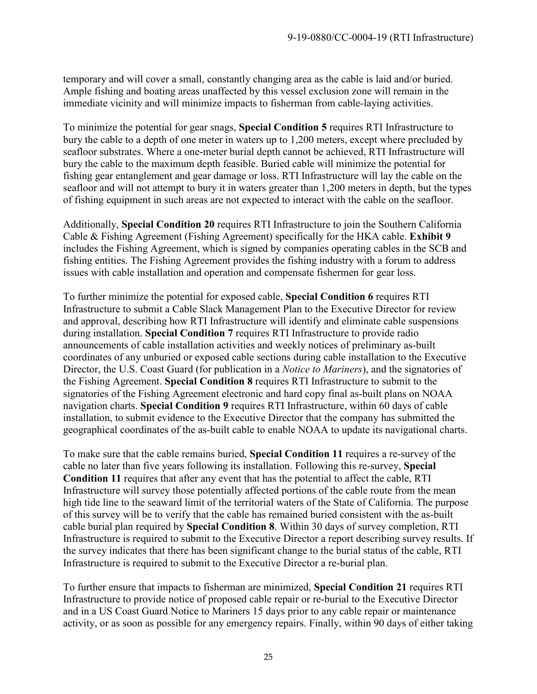temporary and will cover a small, constantly changing area as the cable is laid and/or buried. Ample fishing and boating areas unaffected by this vessel exclusion zone will remain in the immediate vicinity and will minimize impacts to fisherman from cable-laying activities.

To minimize the potential for gear snags, **Special Condition 5** requires RTI Infrastructure to bury the cable to a depth of one meter in waters up to 1,200 meters, except where precluded by seafloor substrates. Where a one-meter burial depth cannot be achieved, RTI Infrastructure will bury the cable to the maximum depth feasible. Buried cable will minimize the potential for fishing gear entanglement and gear damage or loss. RTI Infrastructure will lay the cable on the seafloor and will not attempt to bury it in waters greater than 1,200 meters in depth, but the types of fishing equipment in such areas are not expected to interact with the cable on the seafloor.

Additionally, **Special Condition 20** requires RTI Infrastructure to join the Southern California Cable & Fishing Agreement (Fishing Agreement) specifically for the HKA cable. **Exhibit 9** includes the Fishing Agreement, which is signed by companies operating cables in the SCB and fishing entities. The Fishing Agreement provides the fishing industry with a forum to address issues with cable installation and operation and compensate fishermen for gear loss.

To further minimize the potential for exposed cable, **Special Condition 6** requires RTI Infrastructure to submit a Cable Slack Management Plan to the Executive Director for review and approval, describing how RTI Infrastructure will identify and eliminate cable suspensions during installation. **Special Condition 7** requires RTI Infrastructure to provide radio announcements of cable installation activities and weekly notices of preliminary as-built coordinates of any unburied or exposed cable sections during cable installation to the Executive Director, the U.S. Coast Guard (for publication in a *Notice to Mariners*), and the signatories of the Fishing Agreement. **Special Condition 8** requires RTI Infrastructure to submit to the signatories of the Fishing Agreement electronic and hard copy final as-built plans on NOAA navigation charts. **Special Condition 9** requires RTI Infrastructure, within 60 days of cable installation, to submit evidence to the Executive Director that the company has submitted the geographical coordinates of the as-built cable to enable NOAA to update its navigational charts.

To make sure that the cable remains buried, **Special Condition 11** requires a re-survey of the cable no later than five years following its installation. Following this re-survey, **Special Condition 11** requires that after any event that has the potential to affect the cable, RTI Infrastructure will survey those potentially affected portions of the cable route from the mean high tide line to the seaward limit of the territorial waters of the State of California. The purpose of this survey will be to verify that the cable has remained buried consistent with the as-built cable burial plan required by **Special Condition 8**. Within 30 days of survey completion, RTI Infrastructure is required to submit to the Executive Director a report describing survey results. If the survey indicates that there has been significant change to the burial status of the cable, RTI Infrastructure is required to submit to the Executive Director a re-burial plan.

To further ensure that impacts to fisherman are minimized, **Special Condition 21** requires RTI Infrastructure to provide notice of proposed cable repair or re-burial to the Executive Director and in a US Coast Guard Notice to Mariners 15 days prior to any cable repair or maintenance activity, or as soon as possible for any emergency repairs. Finally, within 90 days of either taking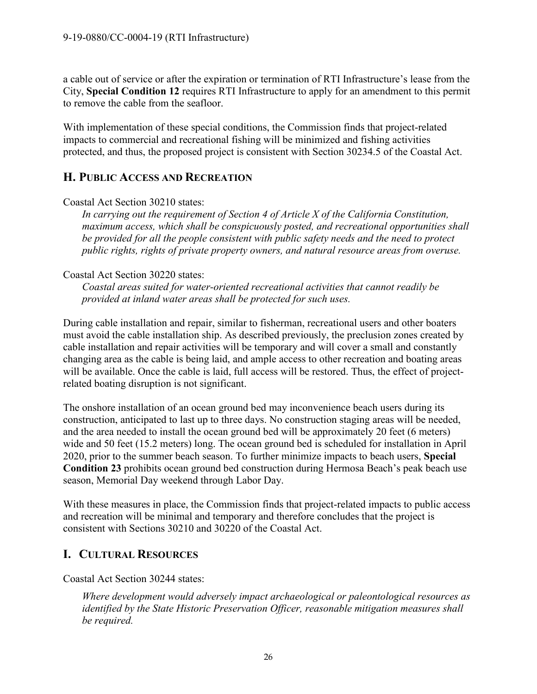a cable out of service or after the expiration or termination of RTI Infrastructure's lease from the City, **Special Condition 12** requires RTI Infrastructure to apply for an amendment to this permit to remove the cable from the seafloor.

With implementation of these special conditions, the Commission finds that project-related impacts to commercial and recreational fishing will be minimized and fishing activities protected, and thus, the proposed project is consistent with Section 30234.5 of the Coastal Act.

# <span id="page-25-0"></span>**H. PUBLIC ACCESS AND RECREATION**

#### Coastal Act Section 30210 states:

*In carrying out the requirement of Section 4 of Article X of the California Constitution, maximum access, which shall be conspicuously posted, and recreational opportunities shall be provided for all the people consistent with public safety needs and the need to protect public rights, rights of private property owners, and natural resource areas from overuse.* 

#### Coastal Act Section 30220 states:

*Coastal areas suited for water-oriented recreational activities that cannot readily be provided at inland water areas shall be protected for such uses.* 

During cable installation and repair, similar to fisherman, recreational users and other boaters must avoid the cable installation ship. As described previously, the preclusion zones created by cable installation and repair activities will be temporary and will cover a small and constantly changing area as the cable is being laid, and ample access to other recreation and boating areas will be available. Once the cable is laid, full access will be restored. Thus, the effect of projectrelated boating disruption is not significant.

The onshore installation of an ocean ground bed may inconvenience beach users during its construction, anticipated to last up to three days. No construction staging areas will be needed, and the area needed to install the ocean ground bed will be approximately 20 feet (6 meters) wide and 50 feet (15.2 meters) long. The ocean ground bed is scheduled for installation in April 2020, prior to the summer beach season. To further minimize impacts to beach users, **Special Condition 23** prohibits ocean ground bed construction during Hermosa Beach's peak beach use season, Memorial Day weekend through Labor Day.

With these measures in place, the Commission finds that project-related impacts to public access and recreation will be minimal and temporary and therefore concludes that the project is consistent with Sections 30210 and 30220 of the Coastal Act.

## <span id="page-25-1"></span>**I. CULTURAL RESOURCES**

Coastal Act Section 30244 states:

*Where development would adversely impact archaeological or paleontological resources as identified by the State Historic Preservation Officer, reasonable mitigation measures shall be required.*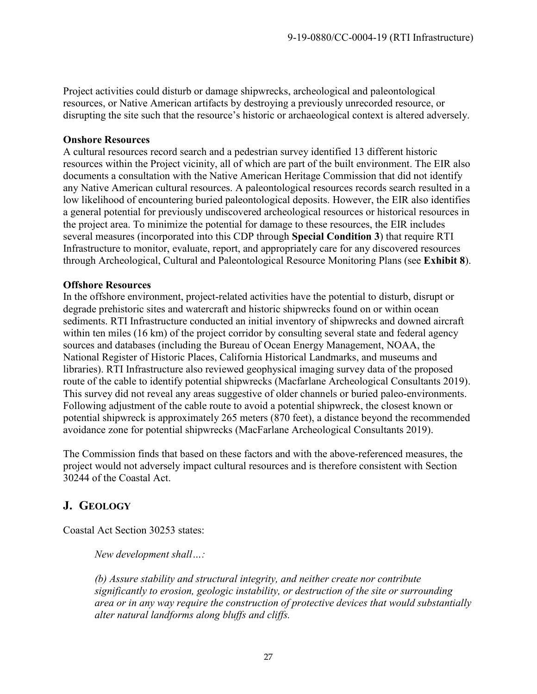Project activities could disturb or damage shipwrecks, archeological and paleontological resources, or Native American artifacts by destroying a previously unrecorded resource, or disrupting the site such that the resource's historic or archaeological context is altered adversely.

#### **Onshore Resources**

A cultural resources record search and a pedestrian survey identified 13 different historic resources within the Project vicinity, all of which are part of the built environment. The EIR also documents a consultation with the Native American Heritage Commission that did not identify any Native American cultural resources. A paleontological resources records search resulted in a low likelihood of encountering buried paleontological deposits. However, the EIR also identifies a general potential for previously undiscovered archeological resources or historical resources in the project area. To minimize the potential for damage to these resources, the EIR includes several measures (incorporated into this CDP through **Special Condition 3**) that require RTI Infrastructure to monitor, evaluate, report, and appropriately care for any discovered resources through Archeological, Cultural and Paleontological Resource Monitoring Plans (see **Exhibit 8**).

#### **Offshore Resources**

In the offshore environment, project-related activities have the potential to disturb, disrupt or degrade prehistoric sites and watercraft and historic shipwrecks found on or within ocean sediments. RTI Infrastructure conducted an initial inventory of shipwrecks and downed aircraft within ten miles (16 km) of the project corridor by consulting several state and federal agency sources and databases (including the Bureau of Ocean Energy Management, NOAA, the National Register of Historic Places, California Historical Landmarks, and museums and libraries). RTI Infrastructure also reviewed geophysical imaging survey data of the proposed route of the cable to identify potential shipwrecks (Macfarlane Archeological Consultants 2019). This survey did not reveal any areas suggestive of older channels or buried paleo-environments. Following adjustment of the cable route to avoid a potential shipwreck, the closest known or potential shipwreck is approximately 265 meters (870 feet), a distance beyond the recommended avoidance zone for potential shipwrecks (MacFarlane Archeological Consultants 2019).

The Commission finds that based on these factors and with the above-referenced measures, the project would not adversely impact cultural resources and is therefore consistent with Section 30244 of the Coastal Act.

# <span id="page-26-0"></span>**J. GEOLOGY**

Coastal Act Section 30253 states:

*New development shall…:* 

*(b) Assure stability and structural integrity, and neither create nor contribute significantly to erosion, geologic instability, or destruction of the site or surrounding area or in any way require the construction of protective devices that would substantially alter natural landforms along bluffs and cliffs.*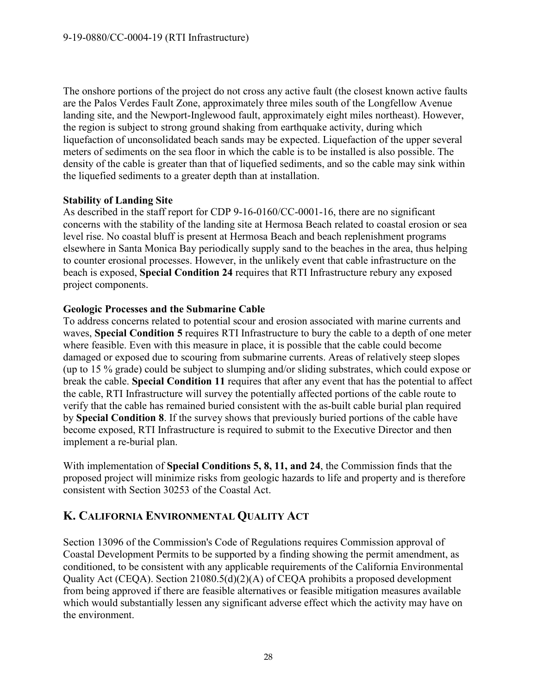The onshore portions of the project do not cross any active fault (the closest known active faults are the Palos Verdes Fault Zone, approximately three miles south of the Longfellow Avenue landing site, and the Newport-Inglewood fault, approximately eight miles northeast). However, the region is subject to strong ground shaking from earthquake activity, during which liquefaction of unconsolidated beach sands may be expected. Liquefaction of the upper several meters of sediments on the sea floor in which the cable is to be installed is also possible. The density of the cable is greater than that of liquefied sediments, and so the cable may sink within the liquefied sediments to a greater depth than at installation.

#### **Stability of Landing Site**

As described in the staff report for CDP 9-16-0160/CC-0001-16, there are no significant concerns with the stability of the landing site at Hermosa Beach related to coastal erosion or sea level rise. No coastal bluff is present at Hermosa Beach and beach replenishment programs elsewhere in Santa Monica Bay periodically supply sand to the beaches in the area, thus helping to counter erosional processes. However, in the unlikely event that cable infrastructure on the beach is exposed, **Special Condition 24** requires that RTI Infrastructure rebury any exposed project components.

#### **Geologic Processes and the Submarine Cable**

To address concerns related to potential scour and erosion associated with marine currents and waves, **Special Condition 5** requires RTI Infrastructure to bury the cable to a depth of one meter where feasible. Even with this measure in place, it is possible that the cable could become damaged or exposed due to scouring from submarine currents. Areas of relatively steep slopes (up to 15 % grade) could be subject to slumping and/or sliding substrates, which could expose or break the cable. **Special Condition 11** requires that after any event that has the potential to affect the cable, RTI Infrastructure will survey the potentially affected portions of the cable route to verify that the cable has remained buried consistent with the as-built cable burial plan required by **Special Condition 8**. If the survey shows that previously buried portions of the cable have become exposed, RTI Infrastructure is required to submit to the Executive Director and then implement a re-burial plan.

With implementation of **Special Conditions 5, 8, 11, and 24**, the Commission finds that the proposed project will minimize risks from geologic hazards to life and property and is therefore consistent with Section 30253 of the Coastal Act.

# <span id="page-27-0"></span>**K. CALIFORNIA ENVIRONMENTAL QUALITY ACT**

Section 13096 of the Commission's Code of Regulations requires Commission approval of Coastal Development Permits to be supported by a finding showing the permit amendment, as conditioned, to be consistent with any applicable requirements of the California Environmental Quality Act (CEQA). Section 21080.5(d)(2)(A) of CEQA prohibits a proposed development from being approved if there are feasible alternatives or feasible mitigation measures available which would substantially lessen any significant adverse effect which the activity may have on the environment.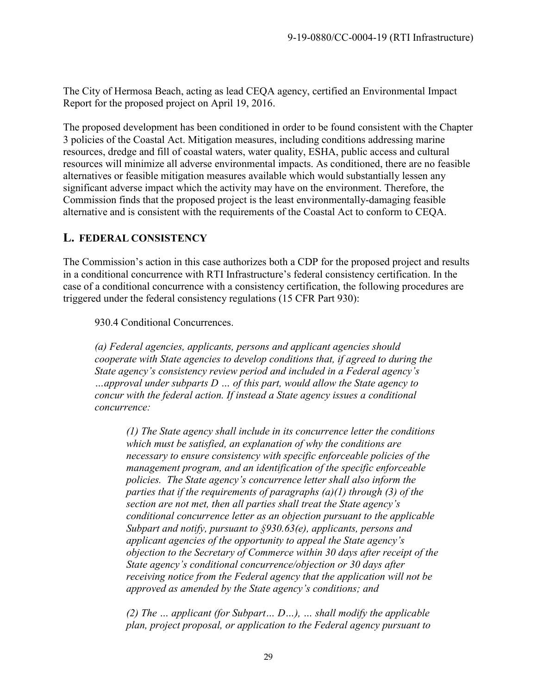The City of Hermosa Beach, acting as lead CEQA agency, certified an Environmental Impact Report for the proposed project on April 19, 2016.

The proposed development has been conditioned in order to be found consistent with the Chapter 3 policies of the Coastal Act. Mitigation measures, including conditions addressing marine resources, dredge and fill of coastal waters, water quality, ESHA, public access and cultural resources will minimize all adverse environmental impacts. As conditioned, there are no feasible alternatives or feasible mitigation measures available which would substantially lessen any significant adverse impact which the activity may have on the environment. Therefore, the Commission finds that the proposed project is the least environmentally-damaging feasible alternative and is consistent with the requirements of the Coastal Act to conform to CEQA.

# <span id="page-28-0"></span>**L. FEDERAL CONSISTENCY**

The Commission's action in this case authorizes both a CDP for the proposed project and results in a conditional concurrence with RTI Infrastructure's federal consistency certification. In the case of a conditional concurrence with a consistency certification, the following procedures are triggered under the federal consistency regulations (15 CFR Part 930):

930.4 Conditional Concurrences.

*(a) Federal agencies, applicants, persons and applicant agencies should cooperate with State agencies to develop conditions that, if agreed to during the State agency's consistency review period and included in a Federal agency's …approval under subparts D … of this part, would allow the State agency to concur with the federal action. If instead a State agency issues a conditional concurrence:* 

*(1) The State agency shall include in its concurrence letter the conditions which must be satisfied, an explanation of why the conditions are necessary to ensure consistency with specific enforceable policies of the management program, and an identification of the specific enforceable policies. The State agency's concurrence letter shall also inform the parties that if the requirements of paragraphs (a)(1) through (3) of the section are not met, then all parties shall treat the State agency's conditional concurrence letter as an objection pursuant to the applicable Subpart and notify, pursuant to §930.63(e), applicants, persons and applicant agencies of the opportunity to appeal the State agency's objection to the Secretary of Commerce within 30 days after receipt of the State agency's conditional concurrence/objection or 30 days after receiving notice from the Federal agency that the application will not be approved as amended by the State agency's conditions; and* 

*(2) The … applicant (for Subpart… D…), … shall modify the applicable plan, project proposal, or application to the Federal agency pursuant to*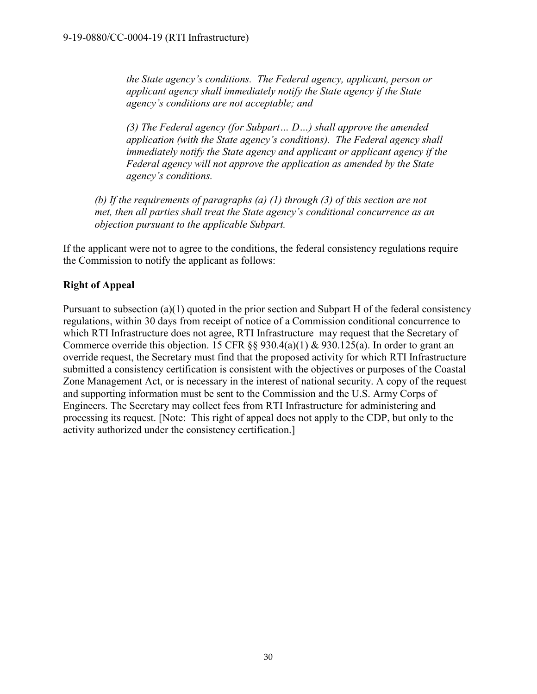*the State agency's conditions. The Federal agency, applicant, person or applicant agency shall immediately notify the State agency if the State agency's conditions are not acceptable; and* 

*(3) The Federal agency (for Subpart… D…) shall approve the amended application (with the State agency's conditions). The Federal agency shall immediately notify the State agency and applicant or applicant agency if the Federal agency will not approve the application as amended by the State agency's conditions.* 

*(b) If the requirements of paragraphs (a) (1) through (3) of this section are not met, then all parties shall treat the State agency's conditional concurrence as an objection pursuant to the applicable Subpart.* 

If the applicant were not to agree to the conditions, the federal consistency regulations require the Commission to notify the applicant as follows:

## **Right of Appeal**

Pursuant to subsection (a)(1) quoted in the prior section and Subpart H of the federal consistency regulations, within 30 days from receipt of notice of a Commission conditional concurrence to which RTI Infrastructure does not agree, RTI Infrastructure may request that the Secretary of Commerce override this objection. 15 CFR  $\S$ § 930.4(a)(1) & 930.125(a). In order to grant an override request, the Secretary must find that the proposed activity for which RTI Infrastructure submitted a consistency certification is consistent with the objectives or purposes of the Coastal Zone Management Act, or is necessary in the interest of national security. A copy of the request and supporting information must be sent to the Commission and the U.S. Army Corps of Engineers. The Secretary may collect fees from RTI Infrastructure for administering and processing its request. [Note: This right of appeal does not apply to the CDP, but only to the activity authorized under the consistency certification.]